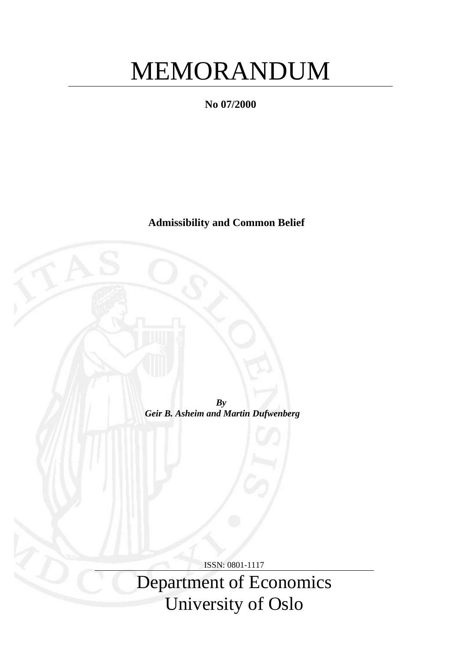# MEMORANDUM

**No 07/2000**

**Admissibility and Common Belief**

*By Geir B. Asheim and Martin Dufwenberg*

ISSN: 0801-1117

Department of Economics University of Oslo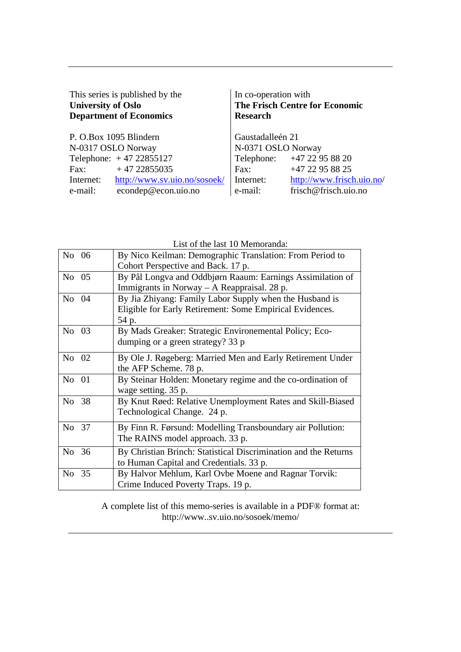| This series is published by the | In co-operation with                  |
|---------------------------------|---------------------------------------|
| <b>University of Oslo</b>       | <b>The Frisch Centre for Economic</b> |
| <b>Department of Economics</b>  | <b>Research</b>                       |
| P. O.Box 1095 Blindern          | Gaustadalleén 21                      |
| N-0317 OSLO Norway              | N-0371 OSLO Norway                    |
| Telephone: $+47 22855127$       | Telephone: +47 22 95 88 20            |
| $+4722855035$                   | +47 22 95 88 25                       |
| Fax:                            | Fax:                                  |
| http://www.sv.uio.no/sosoek/    | http://www.frisch.uio.no/             |
| Internet:                       | Internet:                             |
| econdep@econ.uio.no             | e-mail:                               |
| e-mail:                         | frisch@frisch.uio.no                  |

List of the last 10 Memoranda:

| No 06    | By Nico Keilman: Demographic Translation: From Period to        |
|----------|-----------------------------------------------------------------|
|          | Cohort Perspective and Back. 17 p.                              |
| No 05    | By Pål Longva and Oddbjørn Raaum: Earnings Assimilation of      |
|          | Immigrants in Norway $-$ A Reappraisal. 28 p.                   |
| No 04    | By Jia Zhiyang: Family Labor Supply when the Husband is         |
|          | Eligible for Early Retirement: Some Empirical Evidences.        |
|          | 54 p.                                                           |
| No 03    | By Mads Greaker: Strategic Environemental Policy; Eco-          |
|          | dumping or a green strategy? 33 p                               |
| No 02    | By Ole J. Røgeberg: Married Men and Early Retirement Under      |
|          | the AFP Scheme. 78 p.                                           |
| No 01    | By Steinar Holden: Monetary regime and the co-ordination of     |
|          | wage setting. 35 p.                                             |
| No 38    | By Knut Røed: Relative Unemployment Rates and Skill-Biased      |
|          | Technological Change. 24 p.                                     |
|          |                                                                 |
| No 37    | By Finn R. Førsund: Modelling Transboundary air Pollution:      |
|          | The RAINS model approach. 33 p.                                 |
| 36<br>No | By Christian Brinch: Statistical Discrimination and the Returns |
|          | to Human Capital and Credentials. 33 p.                         |
| 35<br>No | By Halvor Mehlum, Karl Ovbe Moene and Ragnar Torvik:            |
|          | Crime Induced Poverty Traps. 19 p.                              |

A complete list of this memo-series is available in a PDF® format at: http://www..sv.uio.no/sosoek/memo/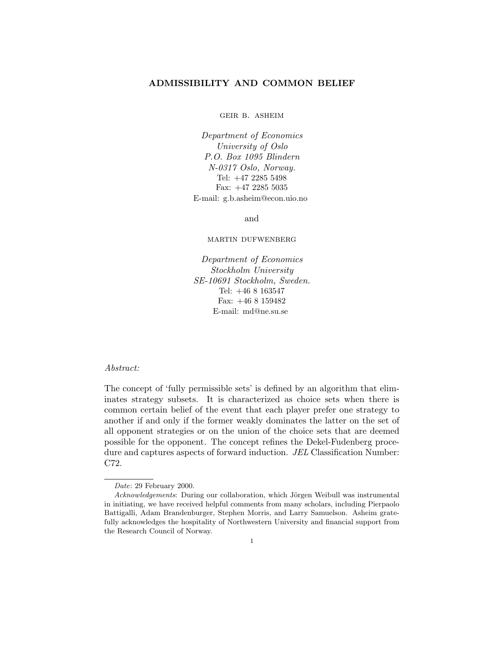# **ADMISSIBILITY AND COMMON BELIEF**

geir b. asheim

Department of Economics University of Oslo P.O. Box 1095 Blindern N-0317 Oslo, Norway. Tel: +47 2285 5498 Fax: +47 2285 5035 E-mail: g.b.asheim@econ.uio.no

and

martin dufwenberg

Department of Economics Stockholm University SE-10691 Stockholm, Sweden. Tel:  $+468163547$ Fax:  $+468159482$ E-mail: md@ne.su.se

# Abstract:

The concept of 'fully permissible sets' is defined by an algorithm that eliminates strategy subsets. It is characterized as choice sets when there is common certain belief of the event that each player prefer one strategy to another if and only if the former weakly dominates the latter on the set of all opponent strategies or on the union of the choice sets that are deemed possible for the opponent. The concept refines the Dekel-Fudenberg procedure and captures aspects of forward induction. JEL Classification Number: C72.

Date: 29 February 2000.

Acknowledgements: During our collaboration, which Jörgen Weibull was instrumental in initiating, we have received helpful comments from many scholars, including Pierpaolo Battigalli, Adam Brandenburger, Stephen Morris, and Larry Samuelson. Asheim gratefully acknowledges the hospitality of Northwestern University and financial support from the Research Council of Norway.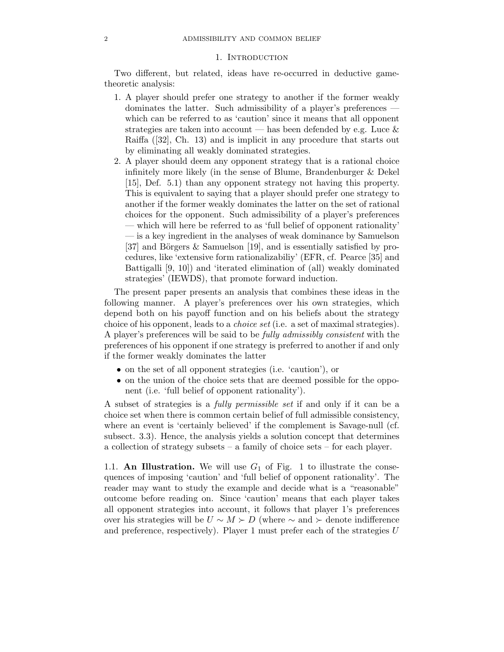## 1. Introduction

Two different, but related, ideas have re-occurred in deductive gametheoretic analysis:

- 1. A player should prefer one strategy to another if the former weakly dominates the latter. Such admissibility of a player's preferences which can be referred to as 'caution' since it means that all opponent strategies are taken into account — has been defended by e.g. Luce  $\&$ Raiffa ([32], Ch. 13) and is implicit in any procedure that starts out by eliminating all weakly dominated strategies.
- 2. A player should deem any opponent strategy that is a rational choice infinitely more likely (in the sense of Blume, Brandenburger & Dekel [15], Def. 5.1) than any opponent strategy not having this property. This is equivalent to saying that a player should prefer one strategy to another if the former weakly dominates the latter on the set of rational choices for the opponent. Such admissibility of a player's preferences — which will here be referred to as 'full belief of opponent rationality' — is a key ingredient in the analyses of weak dominance by Samuelson [37] and Börgers  $\&$  Samuelson [19], and is essentially satisfied by procedures, like 'extensive form rationalizabiliy' (EFR, cf. Pearce [35] and Battigalli [9, 10]) and 'iterated elimination of (all) weakly dominated strategies' (IEWDS), that promote forward induction.

The present paper presents an analysis that combines these ideas in the following manner. A player's preferences over his own strategies, which depend both on his payoff function and on his beliefs about the strategy choice of his opponent, leads to a choice set (i.e. a set of maximal strategies). A player's preferences will be said to be fully admissibly consistent with the preferences of his opponent if one strategy is preferred to another if and only if the former weakly dominates the latter

- on the set of all opponent strategies (i.e. 'caution'), or
- on the union of the choice sets that are deemed possible for the opponent (i.e. 'full belief of opponent rationality').

A subset of strategies is a fully permissible set if and only if it can be a choice set when there is common certain belief of full admissible consistency, where an event is 'certainly believed' if the complement is Savage-null (cf. subsect. 3.3). Hence, the analysis yields a solution concept that determines a collection of strategy subsets – a family of choice sets – for each player.

1.1. **An Illustration.** We will use  $G_1$  of Fig. 1 to illustrate the consequences of imposing 'caution' and 'full belief of opponent rationality'. The reader may want to study the example and decide what is a "reasonable" outcome before reading on. Since 'caution' means that each player takes all opponent strategies into account, it follows that player 1's preferences over his strategies will be  $U \sim M \succ D$  (where  $\sim$  and  $\succ$  denote indifference and preference, respectively). Player 1 must prefer each of the strategies  $U$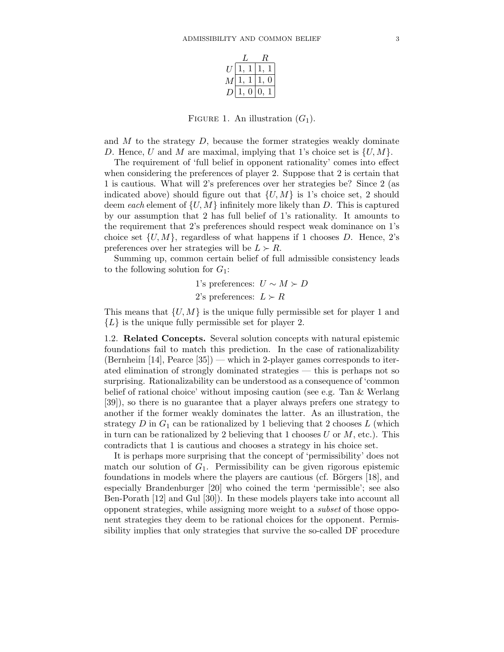| ,, |  |  |  |  |
|----|--|--|--|--|
| М  |  |  |  |  |
|    |  |  |  |  |

FIGURE 1. An illustration  $(G_1)$ .

and  $M$  to the strategy  $D$ , because the former strategies weakly dominate D. Hence, U and M are maximal, implying that 1's choice set is  $\{U, M\}$ .

The requirement of 'full belief in opponent rationality' comes into effect when considering the preferences of player 2. Suppose that 2 is certain that 1 is cautious. What will 2's preferences over her strategies be? Since 2 (as indicated above) should figure out that  $\{U, M\}$  is 1's choice set, 2 should deem each element of  $\{U, M\}$  infinitely more likely than D. This is captured by our assumption that 2 has full belief of 1's rationality. It amounts to the requirement that 2's preferences should respect weak dominance on 1's choice set  $\{U, M\}$ , regardless of what happens if 1 chooses D. Hence, 2's preferences over her strategies will be  $L \succ R$ .

Summing up, common certain belief of full admissible consistency leads to the following solution for  $G_1$ :

\n- 1's preferences: 
$$
U \sim M \succ D
$$
\n- 2's preferences:  $L \succ R$
\n

This means that  $\{U, M\}$  is the unique fully permissible set for player 1 and  ${L}$  is the unique fully permissible set for player 2.

1.2. **Related Concepts.** Several solution concepts with natural epistemic foundations fail to match this prediction. In the case of rationalizability (Bernheim  $[14]$ , Pearce  $[35]$ ) — which in 2-player games corresponds to iterated elimination of strongly dominated strategies — this is perhaps not so surprising. Rationalizability can be understood as a consequence of 'common belief of rational choice' without imposing caution (see e.g. Tan & Werlang [39]), so there is no guarantee that a player always prefers one strategy to another if the former weakly dominates the latter. As an illustration, the strategy  $D$  in  $G_1$  can be rationalized by 1 believing that 2 chooses  $L$  (which in turn can be rationalized by 2 believing that 1 chooses  $U$  or  $M$ , etc.). This contradicts that 1 is cautious and chooses a strategy in his choice set.

It is perhaps more surprising that the concept of 'permissibility' does not match our solution of  $G_1$ . Permissibility can be given rigorous epistemic foundations in models where the players are cautious (cf. Börgers  $[18]$ , and especially Brandenburger [20] who coined the term 'permissible'; see also Ben-Porath [12] and Gul [30]). In these models players take into account all opponent strategies, while assigning more weight to a subset of those opponent strategies they deem to be rational choices for the opponent. Permissibility implies that only strategies that survive the so-called DF procedure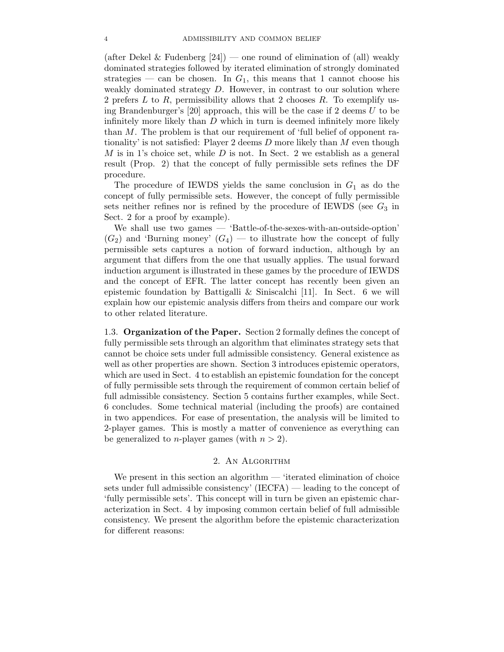(after Dekel & Fudenberg  $[24]$ ) — one round of elimination of (all) weakly dominated strategies followed by iterated elimination of strongly dominated strategies — can be chosen. In  $G_1$ , this means that 1 cannot choose his weakly dominated strategy  $D$ . However, in contrast to our solution where 2 prefers  $L$  to  $R$ , permissibility allows that 2 chooses  $R$ . To exemplify using Brandenburger's [20] approach, this will be the case if 2 deems  $U$  to be infinitely more likely than  $D$  which in turn is deemed infinitely more likely than M. The problem is that our requirement of 'full belief of opponent rationality' is not satisfied: Player 2 deems  $D$  more likely than  $M$  even though  $M$  is in 1's choice set, while  $D$  is not. In Sect. 2 we establish as a general result (Prop. 2) that the concept of fully permissible sets refines the DF procedure.

The procedure of IEWDS yields the same conclusion in  $G_1$  as do the concept of fully permissible sets. However, the concept of fully permissible sets neither refines nor is refined by the procedure of IEWDS (see  $G_3$  in Sect. 2 for a proof by example).

We shall use two games — 'Battle-of-the-sexes-with-an-outside-option'  $(G_2)$  and 'Burning money'  $(G_4)$  — to illustrate how the concept of fully permissible sets captures a notion of forward induction, although by an argument that differs from the one that usually applies. The usual forward induction argument is illustrated in these games by the procedure of IEWDS and the concept of EFR. The latter concept has recently been given an epistemic foundation by Battigalli & Siniscalchi [11]. In Sect. 6 we will explain how our epistemic analysis differs from theirs and compare our work to other related literature.

1.3. **Organization ofthe Paper.** Section 2 formally defines the concept of fully permissible sets through an algorithm that eliminates strategy sets that cannot be choice sets under full admissible consistency. General existence as well as other properties are shown. Section 3 introduces epistemic operators, which are used in Sect. 4 to establish an epistemic foundation for the concept of fully permissible sets through the requirement of common certain belief of full admissible consistency. Section 5 contains further examples, while Sect. 6concludes. Some technical material (including the proofs) are contained in two appendices. For ease of presentation, the analysis will be limited to 2-player games. This is mostly a matter of convenience as everything can be generalized to *n*-player games (with  $n > 2$ ).

# 2. An Algorithm

We present in this section an algorithm — 'iterated elimination of choice sets under full admissible consistency' (IECFA) — leading to the concept of 'fully permissible sets'. This concept will in turn be given an epistemic characterization in Sect. 4 by imposing common certain belief of full admissible consistency. We present the algorithm before the epistemic characterization for different reasons: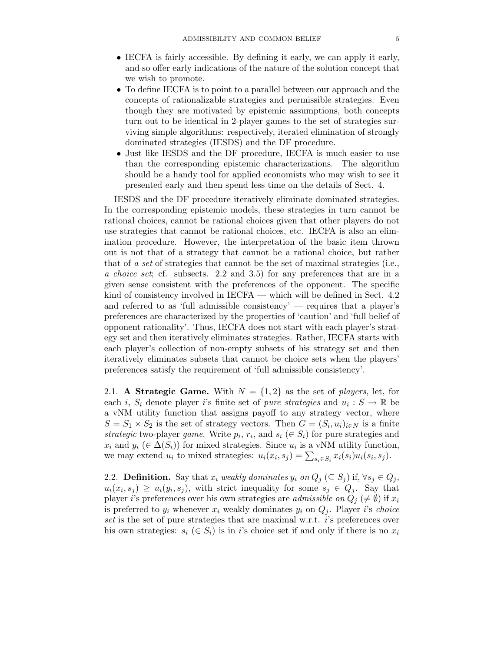- IECFA is fairly accessible. By defining it early, we can apply it early, and so offer early indications of the nature of the solution concept that we wish to promote.
- To define IECFA is to point to a parallel between our approach and the concepts of rationalizable strategies and permissible strategies. Even though they are motivated by epistemic assumptions, both concepts turn out to be identical in 2-player games to the set of strategies surviving simple algorithms: respectively, iterated elimination of strongly dominated strategies (IESDS) and the DF procedure.
- Just like IESDS and the DF procedure, IECFA is much easier to use than the corresponding epistemic characterizations. The algorithm should be a handy tool for applied economists who may wish to see it presented early and then spend less time on the details of Sect. 4.

IESDS and the DF procedure iteratively eliminate dominated strategies. In the corresponding epistemic models, these strategies in turn cannot be rational choices, cannot be rational choices given that other players do not use strategies that cannot be rational choices, etc. IECFA is also an elimination procedure. However, the interpretation of the basic item thrown out is not that of a strategy that cannot be a rational choice, but rather that of a set of strategies that cannot be the set of maximal strategies (i.e., a choice set; cf. subsects. 2.2 and 3.5) for any preferences that are in a given sense consistent with the preferences of the opponent. The specific kind of consistency involved in IECFA — which will be defined in Sect. 4.2 and referred to as 'full admissible consistency' — requires that a player's preferences are characterized by the properties of 'caution' and 'full belief of opponent rationality'. Thus, IECFA does not start with each player's strategy set and then iteratively eliminates strategies. Rather, IECFA starts with each player's collection of non-empty subsets of his strategy set and then iteratively eliminates subsets that cannot be choice sets when the players' preferences satisfy the requirement of 'full admissible consistency'.

2.1. **A Strategic Game.** With  $N = \{1, 2\}$  as the set of *players*, let, for each i,  $S_i$  denote player i's finite set of *pure strategies* and  $u_i : S \to \mathbb{R}$  be a vNM utility function that assigns payoff to any strategy vector, where  $S = S_1 \times S_2$  is the set of strategy vectors. Then  $G = (S_i, u_i)_{i \in N}$  is a finite strategic two-player game. Write  $p_i, r_i$ , and  $s_i \in S_i$  for pure strategies and  $x_i$  and  $y_i$  ( $\in \Delta(S_i)$ ) for mixed strategies. Since  $u_i$  is a vNM utility function, we may extend  $u_i$  to mixed strategies:  $u_i(x_i, s_j) = \sum_{s_i \in S_i} x_i(s_i) u_i(s_i, s_j)$ .

2.2. **Definition.** Say that  $x_i$  weakly dominates  $y_i$  on  $Q_j$  ( $\subseteq S_j$ ) if,  $\forall s_j \in Q_j$ ,  $u_i(x_i, s_j) \geq u_i(y_i, s_j)$ , with strict inequality for some  $s_j \in Q_j$ . Say that player i's preferences over his own strategies are *admissible on*  $Q_j \neq \emptyset$  if  $x_i$ is preferred to  $y_i$  whenever  $x_i$  weakly dominates  $y_i$  on  $Q_j$ . Player i's choice set is the set of pure strategies that are maximal w.r.t. i's preferences over his own strategies:  $s_i \in S_i$  is in i's choice set if and only if there is no  $x_i$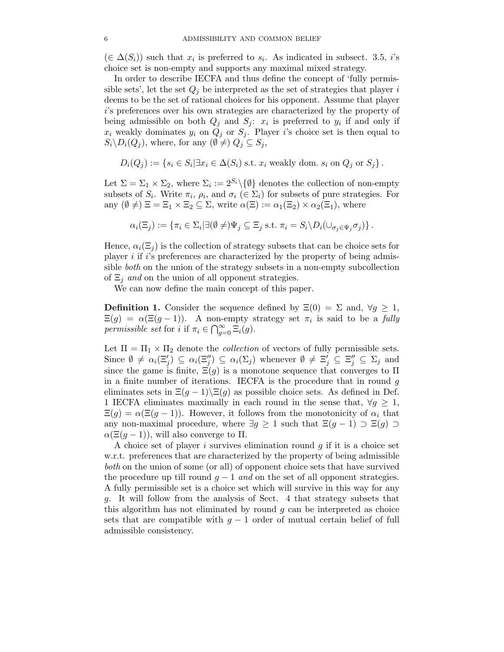$(\in \Delta(S_i))$  such that  $x_i$  is preferred to  $s_i$ . As indicated in subsect. 3.5, i's choice set is non-empty and supports any maximal mixed strategy.

In order to describe IECFA and thus define the concept of 'fully permissible sets', let the set  $Q_j$  be interpreted as the set of strategies that player i deems to be the set of rational choices for his opponent. Assume that player i's preferences over his own strategies are characterized by the property of being admissible on both  $Q_j$  and  $S_j$ :  $x_i$  is preferred to  $y_i$  if and only if  $x_i$  weakly dominates  $y_i$  on  $Q_j$  or  $S_j$ . Player i's choice set is then equal to  $S_i \backslash D_i(Q_j)$ , where, for any  $(\emptyset \neq) Q_j \subseteq S_j$ ,

$$
D_i(Q_j) := \{ s_i \in S_i | \exists x_i \in \Delta(S_i) \text{ s.t. } x_i \text{ weakly dom. } s_i \text{ on } Q_j \text{ or } S_j \}.
$$

Let  $\Sigma = \Sigma_1 \times \Sigma_2$ , where  $\Sigma_i := 2^{S_i} \setminus \{\emptyset\}$  denotes the collection of non-empty subsets of  $S_i$ . Write  $\pi_i$ ,  $\rho_i$ , and  $\sigma_i$  ( $\in \Sigma_i$ ) for subsets of pure strategies. For any  $(\emptyset \neq) \Xi = \Xi_1 \times \Xi_2 \subseteq \Sigma$ , write  $\alpha(\Xi) := \alpha_1(\Xi_2) \times \alpha_2(\Xi_1)$ , where

$$
\alpha_i(\Xi_j) := \{ \pi_i \in \Sigma_i | \exists (\emptyset \neq) \Psi_j \subseteq \Xi_j \text{ s.t. } \pi_i = S_i \backslash D_i(\cup_{\sigma_j \in \Psi_j} \sigma_j) \}.
$$

Hence,  $\alpha_i(\Xi_j)$  is the collection of strategy subsets that can be choice sets for player i if i's preferences are characterized by the property of being admissible both on the union of the strategy subsets in a non-empty subcollection of  $\Xi_j$  and on the union of all opponent strategies.

We can now define the main concept of this paper.

**Definition 1.** Consider the sequence defined by  $\Xi(0) = \Sigma$  and,  $\forall q \geq 1$ ,  $\Xi(g) = \alpha(\Xi(g-1))$ . A non-empty strategy set  $\pi_i$  is said to be a fully permissible set for i if  $\pi_i \in \bigcap_{g=0}^{\infty} \Xi_i(g)$ .

Let  $\Pi = \Pi_1 \times \Pi_2$  denote the *collection* of vectors of fully permissible sets. Since  $\emptyset \neq \alpha_i(\Xi'_j) \subseteq \alpha_i(\Xi''_j) \subseteq \alpha_i(\Sigma_j)$  whenever  $\emptyset \neq \Xi'_j \subseteq \Xi''_j \subseteq \Sigma_j$  and since the game is finite  $\Xi(\alpha)$  is a monotone sequence that converges to  $\Pi$ since the game is finite,  $\Xi(g)$  is a monotone sequence that converges to  $\Pi$ in a finite number of iterations. IECFA is the procedure that in round  $q$ eliminates sets in  $\Xi(g-1)\setminus \Xi(g)$  as possible choice sets. As defined in Def. 1 IECFA eliminates maximally in each round in the sense that,  $\forall g \geq 1$ ,  $\Xi(g) = \alpha(\Xi(g-1))$ . However, it follows from the monotonicity of  $\alpha_i$  that any non-maximal procedure, where  $\exists g \geq 1$  such that  $\Xi(g-1) \supset \Xi(g) \supset$  $\alpha(\Xi(g-1))$ , will also converge to  $\Pi$ .

A choice set of player i survives elimination round  $q$  if it is a choice set w.r.t. preferences that are characterized by the property of being admissible both on the union of some (or all) of opponent choice sets that have survived the procedure up till round  $q - 1$  and on the set of all opponent strategies. A fully permissible set is a choice set which will survive in this way for any g. It will follow from the analysis of Sect. 4 that strategy subsets that this algorithm has not eliminated by round  $q$  can be interpreted as choice sets that are compatible with  $g - 1$  order of mutual certain belief of full admissible consistency.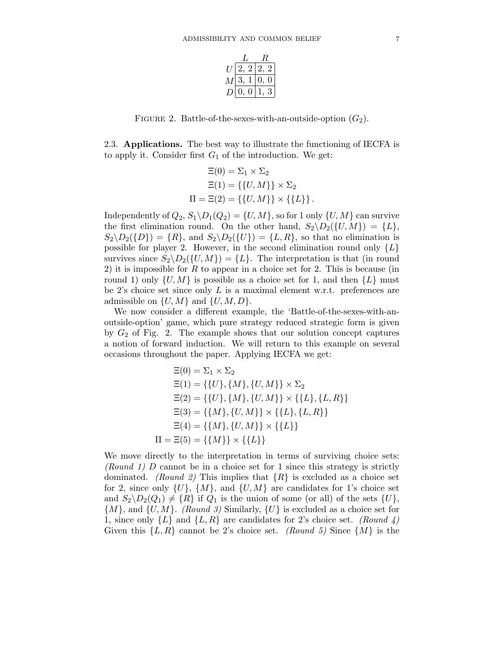| 2 | ., |  |
|---|----|--|
| 3 |    |  |
|   |    |  |

FIGURE 2. Battle-of-the-sexes-with-an-outside-option  $(G_2)$ .

2.3. **Applications.** The best way to illustrate the functioning of IECFA is to apply it. Consider first  $G_1$  of the introduction. We get:

$$
\Xi(0) = \Sigma_1 \times \Sigma_2
$$

$$
\Xi(1) = \{\{U, M\}\} \times \Sigma_2
$$

$$
\Pi = \Xi(2) = \{\{U, M\}\} \times \{\{L\}\}.
$$

Independently of  $Q_2$ ,  $S_1 \backslash D_1(Q_2) = \{U, M\}$ , so for 1 only  $\{U, M\}$  can survive the first elimination round. On the other hand,  $S_2 \ D_2({U, M}) = {L}$ ,  $S_2 \backslash D_2(\{D\}) = \{R\}$ , and  $S_2 \backslash D_2(\{U\}) = \{L, R\}$ , so that no elimination is possible for player 2. However, in the second elimination round only  $\{L\}$ survives since  $S_2 \backslash D_2({U, M}) = {L}$ . The interpretation is that (in round 2) it is impossible for R to appear in a choice set for 2. This is because (in round 1) only  $\{U, M\}$  is possible as a choice set for 1, and then  $\{L\}$  must be 2's choice set since only  $L$  is a maximal element w.r.t. preferences are admissible on  $\{U, M\}$  and  $\{U, M, D\}$ .

We now consider a different example, the 'Battle-of-the-sexes-with-anoutside-option' game, which pure strategy reduced strategic form is given by  $G_2$  of Fig. 2. The example shows that our solution concept captures a notion of forward induction. We will return to this example on several occasions throughout the paper. Applying IECFA we get:

$$
\Xi(0) = \Sigma_1 \times \Sigma_2
$$
  
\n
$$
\Xi(1) = \{\{U\}, \{M\}, \{U, M\}\} \times \Sigma_2
$$
  
\n
$$
\Xi(2) = \{\{U\}, \{M\}, \{U, M\}\} \times \{\{L\}, \{L, R\}\}
$$
  
\n
$$
\Xi(3) = \{\{M\}, \{U, M\}\} \times \{\{L\}, \{L, R\}\}
$$
  
\n
$$
\Xi(4) = \{\{M\}, \{U, M\}\} \times \{\{L\}\}
$$
  
\n
$$
\Pi = \Xi(5) = \{\{M\}\} \times \{\{L\}\}\
$$

We move directly to the interpretation in terms of surviving choice sets: (Round 1) D cannot be in a choice set for 1 since this strategy is strictly dominated. (Round 2) This implies that  $\{R\}$  is excluded as a choice set for 2, since only  $\{U\}$ ,  $\{M\}$ , and  $\{U, M\}$  are candidates for 1's choice set and  $S_2 \backslash D_2(Q_1) \neq \{R\}$  if  $Q_1$  is the union of some (or all) of the sets  $\{U\}$ ,  $\{M\}$ , and  $\{U, M\}$ . (Round 3) Similarly,  $\{U\}$  is excluded as a choice set for 1, since only  $\{L\}$  and  $\{L, R\}$  are candidates for 2's choice set. (Round 4) Given this  $\{L, R\}$  cannot be 2's choice set. (Round 5) Since  $\{M\}$  is the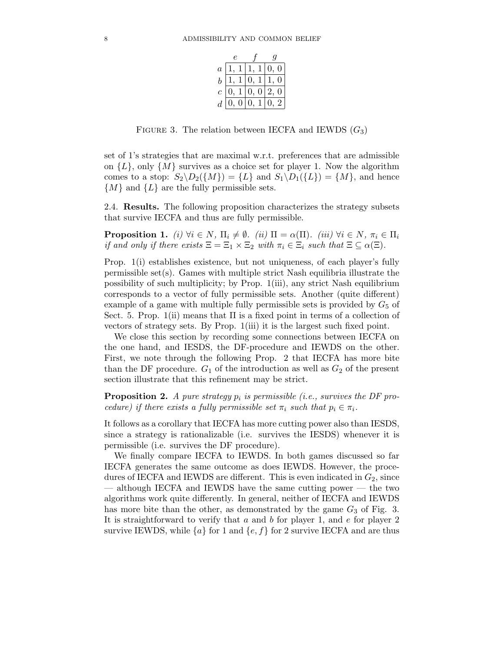| $\overline{a}$ |  |                |  |  |
|----------------|--|----------------|--|--|
| $\bar{b}$      |  |                |  |  |
| $\overline{c}$ |  | $\overline{0}$ |  |  |
| $\overline{d}$ |  |                |  |  |

FIGURE 3. The relation between IECFA and IEWDS  $(G_3)$ 

set of 1's strategies that are maximal w.r.t. preferences that are admissible on  ${L}$ , only  ${M}$  survives as a choice set for player 1. Now the algorithm comes to a stop:  $S_2 \backslash D_2({M}) = {L}$  and  $S_1 \backslash D_1({L}) = {M}$ , and hence  $\{M\}$  and  $\{L\}$  are the fully permissible sets.

2.4. **Results.** The following proposition characterizes the strategy subsets that survive IECFA and thus are fully permissible.

**Proposition 1.** (i)  $\forall i \in N$ ,  $\Pi_i \neq \emptyset$ . (ii)  $\Pi = \alpha(\Pi)$ . (iii)  $\forall i \in N$ ,  $\pi_i \in \Pi_i$ if and only if there exists  $\Xi = \Xi_1 \times \Xi_2$  with  $\pi_i \in \Xi_i$  such that  $\Xi \subseteq \alpha(\Xi)$ .

Prop. 1(i) establishes existence, but not uniqueness, of each player's fully permissible set(s). Games with multiple strict Nash equilibria illustrate the possibility of such multiplicity; by Prop. 1(iii), any strict Nash equilibrium corresponds to a vector of fully permissible sets. Another (quite different) example of a game with multiple fully permissible sets is provided by  $G_5$  of Sect. 5. Prop.  $1(i)$  means that  $\Pi$  is a fixed point in terms of a collection of vectors of strategy sets. By Prop. 1(iii) it is the largest such fixed point.

We close this section by recording some connections between IECFA on the one hand, and IESDS, the DF-procedure and IEWDS on the other. First, we note through the following Prop. 2 that IECFA has more bite than the DF procedure.  $G_1$  of the introduction as well as  $G_2$  of the present section illustrate that this refinement may be strict.

**Proposition 2.** A pure strategy  $p_i$  is permissible (i.e., survives the DF procedure) if there exists a fully permissible set  $\pi_i$  such that  $p_i \in \pi_i$ .

It follows as a corollary that IECFA has more cutting power also than IESDS, since a strategy is rationalizable (i.e. survives the IESDS) whenever it is permissible (i.e. survives the DF procedure).

We finally compare IECFA to IEWDS. In both games discussed so far IECFA generates the same outcome as does IEWDS. However, the procedures of IECFA and IEWDS are different. This is even indicated in  $G_2$ , since — although IECFA and IEWDS have the same cutting power — the two algorithms work quite differently. In general, neither of IECFA and IEWDS has more bite than the other, as demonstrated by the game  $G_3$  of Fig. 3. It is straightforward to verify that  $a$  and  $b$  for player 1, and  $e$  for player 2 survive IEWDS, while  $\{a\}$  for 1 and  $\{e, f\}$  for 2 survive IECFA and are thus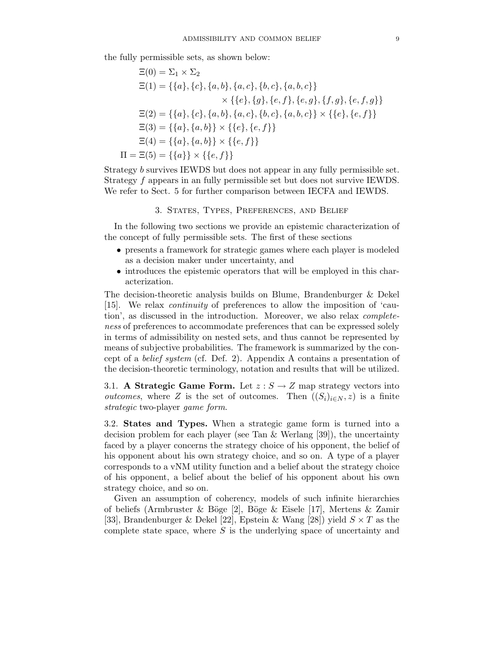the fully permissible sets, as shown below:

$$
\Xi(0) = \Sigma_1 \times \Sigma_2
$$
  
\n
$$
\Xi(1) = \{\{a\}, \{c\}, \{a, b\}, \{a, c\}, \{b, c\}, \{a, b, c\}\}\
$$
  
\n
$$
\times \{\{e\}, \{g\}, \{e, f\}, \{e, g\}, \{f, g\}, \{e, f, g\}\}\
$$
  
\n
$$
\Xi(2) = \{\{a\}, \{c\}, \{a, b\}, \{a, c\}, \{b, c\}, \{a, b, c\}\} \times \{\{e\}, \{e, f\}\}\
$$
  
\n
$$
\Xi(3) = \{\{a\}, \{a, b\}\} \times \{\{e\}, \{e, f\}\}\
$$
  
\n
$$
\Xi(4) = \{\{a\}, \{a, b\}\} \times \{\{e, f\}\}\
$$
  
\n
$$
\Pi = \Xi(5) = \{\{a\}\} \times \{\{e, f\}\}\
$$

Strategy b survives IEWDS but does not appear in any fully permissible set. Strategy f appears in an fully permissible set but does not survive IEWDS. We refer to Sect. 5 for further comparison between IECFA and IEWDS.

#### 3. States, Types, Preferences, and Belief

In the following two sections we provide an epistemic characterization of the concept of fully permissible sets. The first of these sections

- presents a framework for strategic games where each player is modeled as a decision maker under uncertainty, and
- introduces the epistemic operators that will be employed in this characterization.

The decision-theoretic analysis builds on Blume, Brandenburger & Dekel [15]. We relax continuity of preferences to allow the imposition of 'caution', as discussed in the introduction. Moreover, we also relax completeness of preferences to accommodate preferences that can be expressed solely in terms of admissibility on nested sets, and thus cannot be represented by means of subjective probabilities. The framework is summarized by the concept of a belief system (cf. Def. 2). Appendix A contains a presentation of the decision-theoretic terminology, notation and results that will be utilized.

3.1. **A Strategic Game Form.** Let  $z : S \to Z$  map strategy vectors into *outcomes*, where Z is the set of outcomes. Then  $((S_i)_{i\in N}, z)$  is a finite strategic two-player game form.

3.2. **States and Types.** When a strategic game form is turned into a decision problem for each player (see Tan & Werlang [39]), the uncertainty faced by a player concerns the strategy choice of his opponent, the belief of his opponent about his own strategy choice, and so on. A type of a player corresponds to a vNM utility function and a belief about the strategy choice of his opponent, a belief about the belief of his opponent about his own strategy choice, and so on.

Given an assumption of coherency, models of such infinite hierarchies of beliefs (Armbruster & Böge [2], Böge & Eisele [17], Mertens & Zamir [33], Brandenburger & Dekel [22], Epstein & Wang [28]) yield  $S \times T$  as the complete state space, where  $S$  is the underlying space of uncertainty and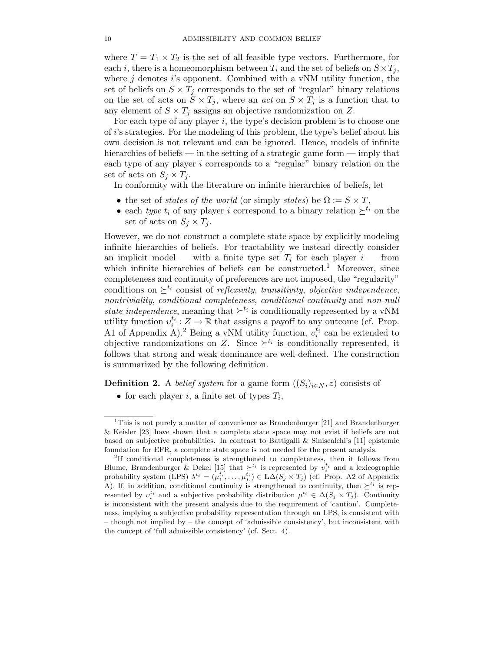where  $T = T_1 \times T_2$  is the set of all feasible type vectors. Furthermore, for each i, there is a homeomorphism between  $T_i$  and the set of beliefs on  $S \times T_i$ , where  $j$  denotes  $i$ 's opponent. Combined with a vNM utility function, the set of beliefs on  $S \times T_j$  corresponds to the set of "regular" binary relations on the set of acts on  $S \times T_j$ , where an *act* on  $S \times T_j$  is a function that to any element of  $S \times T_j$  assigns an objective randomization on Z.

For each type of any player  $i$ , the type's decision problem is to choose one of i's strategies. For the modeling of this problem, the type's belief about his own decision is not relevant and can be ignored. Hence, models of infinite hierarchies of beliefs — in the setting of a strategic game form — imply that each type of any player i corresponds to a "regular" binary relation on the set of acts on  $S_j \times T_j$ .

In conformity with the literature on infinite hierarchies of beliefs, let

- the set of states of the world (or simply states) be  $\Omega := S \times T$ ,
- each type  $t_i$  of any player i correspond to a binary relation  $\succeq^{t_i}$  on the set of acts on  $S_i \times T_j$ .

However, we do not construct a complete state space by explicitly modeling infinite hierarchies of beliefs. For tractability we instead directly consider an implicit model — with a finite type set  $T_i$  for each player  $i$  — from which infinite hierarchies of beliefs can be constructed.<sup>1</sup> Moreover, since completeness and continuity of preferences are not imposed, the "regularity" conditions on  $\geq^{t_i}$  consist of reflexivity, transitivity, objective independence, nontriviality, conditional completeness, conditional continuity and non-null state independence, meaning that  $\geq^{t_i}$  is conditionally represented by a vNM utility function  $v_i^{t_i}: Z \to \mathbb{R}$  that assigns a payoff to any outcome (cf. Prop.<br>A 1 of Appendix A) <sup>2</sup> Being a vNM utility function  $v_i^{t_i}$  can be extended to A1 of Appendix A).<sup>2</sup> Being a vNM utility function,  $v_i^{t_i}$  can be extended to objective randomizations on Z Since  $\succ^{t_i}$  is conditionally represented it. objective randomizations on Z. Since  $\geq^{t_i}$  is conditionally represented, it follows that strong and weak dominance are well-defined. The construction is summarized by the following definition.

**Definition 2.** A *belief system* for a game form  $((S_i)_{i \in N}, z)$  consists of

<sup>•</sup> for each player i, a finite set of types  $T_i$ ,

<sup>&</sup>lt;sup>1</sup>This is not purely a matter of convenience as Brandenburger  $[21]$  and Brandenburger  $\&$  Keisler [23] have shown that a complete state space may not exist if beliefs are not based on subjective probabilities. In contrast to Battigalli & Siniscalchi's [11] epistemic foundation for EFR, a complete state space is not needed for the present analysis.

<sup>2</sup>If conditional completeness is strengthened to completeness, then it follows from Blume, Brandenburger & Dekel [15] that  $\sum_{i}^{t_i}$  is represented by  $v_i^{t_i}$  and a lexicographic probability system (LPS)  $\lambda^{t_i} = (u_i^{t_i} - u_i^{t_i}) \in \text{LAGS} \times T$ .) (of Prop. 42 of Appendix probability system (LPS)  $\lambda^{t_i} = (\mu_1^{t_i}, \dots, \mu_L^{t_i}) \in \mathbf{L}\Delta(S_j \times T_j)$  (cf. Prop. A2 of Appendix<br>A) If in addition conditional continuity is strengthened to continuity then  $\succ^{t_i}$  is rep. A). If, in addition, conditional continuity is strengthened to continuity, then  $\geq^{t_i}$  is represented by  $v_i^{t_i}$  and a subjective probability distribution  $\mu^{t_i} \in \Delta(S_j \times T_j)$ . Continuity<br>is inconsistent with the present analysis due to the requirement of 'caution'. Completeis inconsistent with the present analysis due to the requirement of'caution'. Completeness, implying a subjective probability representation through an LPS, is consistent with – though not implied by – the concept of'admissible consistency', but inconsistent with the concept of 'full admissible consistency' (cf. Sect. 4).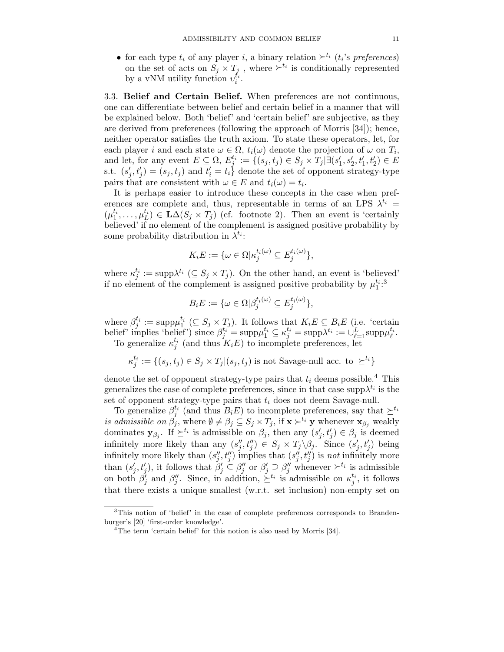• for each type  $t_i$  of any player i, a binary relation  $\geq^{t_i} (t_i)$ 's preferences) on the set of acts on  $S_j \times T_j$ , where  $\succeq^{t_i}$  is conditionally represented<br>by a vNM utility function  $v_i^{t_i}$ .

3.3. **Beliefand Certain Belief.** When preferences are not continuous, one can differentiate between belief and certain belief in a manner that will be explained below. Both 'belief' and 'certain belief' are subjective, as they are derived from preferences (following the approach of Morris [34]); hence, neither operator satisfies the truth axiom. To state these operators, let, for each player *i* and each state  $\omega \in \Omega$ ,  $t_i(\omega)$  denote the projection of  $\omega$  on  $T_i$ ,<br>and let, for any event  $E \subseteq \Omega$ ,  $E_j^{t_i} := \{(s_j, t_j) \in S_j \times T_j | \exists (s'_1, s'_2, t'_1, t'_2) \in E$ <br>s t  $(s', t') = (s, t_i)$  and  $t' = t_i$ , denote the set of opp s.t.  $(s'_j, t'_j) = (s_j, t_j)$  and  $t'_i = t_i$  denote the set of opponent strategy-type<br>pairs that are consistent with  $\omega \in E$  and  $t(\omega) = t_i$ . pairs that are consistent with  $\omega \in E$  and  $t_i(\omega) = t_i$ .

It is perhaps easier to introduce these concepts in the case when preferences are complete and, thus, representable in terms of an LPS  $\lambda^{t_i}$  =  $(\mu_1^{t_1}, \ldots, \mu_L^{t_L}) \in \mathbf{L}\Delta(S_j \times T_j)$  (cf. footnote 2). Then an event is 'certainly believed' if no element of the complement is assigned positive probability by believed' if no element of the complement is assigned positive probability by some probability distribution in  $\lambda^{t_i}$ :

$$
K_i E := \{ \omega \in \Omega \mid \kappa_j^{t_i(\omega)} \subseteq E_j^{t_i(\omega)} \},
$$

where  $\kappa_j^{t_i} := \text{supp}\lambda^{t_i} \ (\subseteq S_j \times T_j)$ . On the other hand, an event is 'believed' if no element of the complement is assigned positive probability by  $\mu_1^{t_i}$ .<sup>3</sup>

$$
B_i E := \{ \omega \in \Omega \mid \beta_j^{t_i(\omega)} \subseteq E_j^{t_i(\omega)} \},
$$

where  $\beta_j^{t_i} := \text{supp}\mu_1^{t_i} (\subseteq S_j \times T_j)$ . It follows that  $K_i E \subseteq B_i E$  (i.e. 'certain belief' implies 'belief') since  $\beta_j^{t_i} = \text{supp}\mu_1^{t_i} \subseteq \kappa_j^{t_i} = \text{supp}\lambda^{t_i} := \bigcup_{\ell=1}^L \text{supp}\mu_\ell^{t_i}$ .<br>To generalize  $\kappa_j^{t_i}$  (and thus

$$
\kappa_j^{t_i} := \{(s_j, t_j) \in S_j \times T_j | (s_j, t_j) \text{ is not Savage-null acc. to } \succeq^{t_i}\}
$$

denote the set of opponent strategy-type pairs that  $t_i$  deems possible.<sup>4</sup> This generalizes the case of complete preferences, since in that case  $\text{supp}\lambda^{t_i}$  is the set of opponent strategy-type pairs that  $t_i$  does not deem Savage-null.

To generalize  $\beta_j^{t_i}$  (and thus  $B_iE$ ) to incomplete preferences, say that  $\succeq^{t_i}$ <br>*admissible on*  $\beta_i$ , where  $\emptyset \neq \beta_i \subset S_i \times T_i$ , if  $\mathbf{x} \succ^{t_i}$  w whenever  $\mathbf{x}_\beta$ , weakly is admissible on  $\beta_j$ , where  $\emptyset \neq \beta_j \subseteq S_j \times T_j$ , if  $\mathbf{x} \succ^{t_i} \mathbf{y}$  whenever  $\mathbf{x}_{\beta_j}$  weakly dominates  $\mathbf{y}_{\beta_j}$ . If  $\succeq^{t_i}$  is admissible on  $\beta_j$ , then any  $(s'_j, t'_j) \in \beta_j$  is deemed<br>infinitely more likely than any  $(s'' +'') \subset S \times T \setminus \beta$ . Since  $(s' +')$  being infinitely more likely than any  $(s''_j, t''_j) \in S_j \times T_j \backslash \beta_j$ . Since  $(s'_j, t'_j)$  being<br>infinitely more likely than  $(s''_j, t''_j)$  implies that  $(s''_j, t''_j)$  is not infinitely more infinitely more likely than  $(s''_j, t''_j)$  implies that  $(s''_j, t''_j)$  is not infinitely more<br>than  $(s', t')$  it follows that  $\beta' \subseteq \beta''$  or  $\beta' \supset \beta''$  whonever  $\forall t_i$  is admissible than  $(s'_j, t'_j)$ , it follows that  $\beta'_j \subseteq \beta''_j$  or  $\beta'_j \supseteq \beta''_j$  whenever  $\succeq^{t_i}$  is admissible<br>on both  $\beta'_j$  and  $\beta''_j$ . Since, in addition,  $\succeq^{t_i}$  is admissible on  $\kappa_j^{t_i}$ , it follows<br>that there exists a un that there exists a unique smallest (w.r.t. set inclusion) non-empty set on

 $3$ This notion of 'belief' in the case of complete preferences corresponds to Brandenburger's [20] 'first-order knowledge'.

<sup>&</sup>lt;sup>4</sup>The term 'certain belief' for this notion is also used by Morris [34].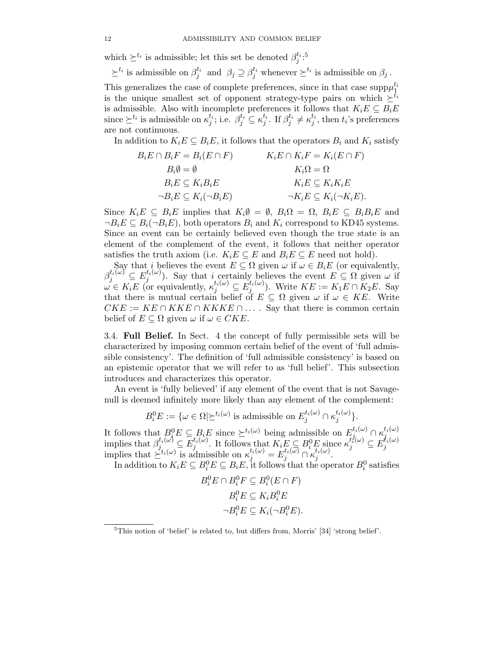which  $\succeq^{t_i}$  is admissible; let this set be denoted  $\beta_j^{t_i}$ :<sup>5</sup>

 $\succeq^{t_i}$  is admissible on  $\beta_j^{\tau_i}$  and  $\beta_j \supseteq \beta_j^{t_i}$  whenever  $\succeq^{t_i}$  is admissible on  $\beta_j$ . This generalizes the case of complete preferences, since in that case  $\text{supp}\mu_1^{t_i}$ is the unique smallest set of opponent strategy-type pairs on which  $\geq^{t_i}$ is admissible. Also with incomplete preferences it follows that  $K_iE \subseteq B_iE$ since  $\succeq^{t_i}$  is admissible on  $\kappa_j^{t_i}$ ; i.e.  $\beta_j^{t_i} \subseteq \kappa_j^{t_i}$ . If  $\beta_j^{t_i} \neq \kappa_j^{t_i}$ , then  $t_i$ 's preferences are not continuous.

In addition to  $K_iE \subseteq B_iE$ , it follows that the operators  $B_i$  and  $K_i$  satisfy

$$
B_i E \cap B_i F = B_i (E \cap F) \qquad K_i E \cap K_i F = K_i (E \cap F)
$$
  
\n
$$
B_i \emptyset = \emptyset \qquad K_i \Omega = \Omega
$$
  
\n
$$
B_i E \subseteq K_i B_i E \qquad K_i E \subseteq K_i K_i E
$$
  
\n
$$
\neg B_i E \subseteq K_i (\neg B_i E) \qquad \qquad \neg K_i E \subseteq K_i (\neg K_i E).
$$

Since  $K_iE \subseteq B_iE$  implies that  $K_i\emptyset = \emptyset$ ,  $B_i\Omega = \Omega$ ,  $B_iE \subseteq B_iB_iE$  and  $\neg B_iE \subseteq B_i(\neg B_iE)$ , both operators  $B_i$  and  $K_i$  correspond to KD45 systems. Since an event can be certainly believed even though the true state is an element of the complement of the event, it follows that neither operator satisfies the truth axiom (i.e.  $K_i E \subseteq E$  and  $B_i E \subseteq E$  need not hold).

Say that i believes the event  $E \subseteq \Omega$  given  $\omega$  if  $\omega \in B_i E$  (or equivalently,  $\beta_j^{t_i(\omega)} \subseteq E_j^{t_i(\omega)}$ . Say that i certainly believes the event  $E \subseteq \Omega$  given  $\omega$  if  $\omega \in K_i E$  (or equivalently  $\kappa^{t_i(\omega)} \subset E_j^{t_i(\omega)}$ ) Write  $KF \subseteq K_i E \cap K_2 E$ . Say  $\omega \in K_iE$  (or equivalently,  $\kappa_j^{t_i(\omega)} \subseteq E_j^{t_i(\omega)}$ ). Write  $KE := K_1E \cap K_2E$ . Say that there is mutual certain belief of  $E \subset \Omega$  given  $\omega$  if  $\omega \in KE$ . Write that there is mutual certain belief of  $E \subseteq \Omega$  given  $\omega$  if  $\omega \in KE$ . Write  $CKE := KE \cap KKE \cap KKKE \cap \ldots$  Say that there is common certain belief of  $E \subseteq \Omega$  given  $\omega$  if  $\omega \in CKE$ .

3.4. **Full Belief.** In Sect. 4 the concept of fully permissible sets will be characterized by imposing common certain belief of the event of 'full admissible consistency'. The definition of 'full admissible consistency' is based on an epistemic operator that we will refer to as 'full belief'. This subsection introduces and characterizes this operator.

An event is 'fully believed' if any element of the event that is not Savagenull is deemed infinitely more likely than any element of the complement:

$$
B_i^0 E := \{ \omega \in \Omega \mid \ge^{t_i(\omega)} \text{ is admissible on } E_j^{t_i(\omega)} \cap \kappa_j^{t_i(\omega)} \}.
$$

It follows that  $B_i^0 E \subseteq B_i E$  since  $\succeq^{t_i(\omega)}$  being admissible on  $E_j^{t_i(\omega)} \cap \kappa_j^{t_i(\omega)}$ <br>implies that  $\beta^{t_i(\omega)} \subset E^{t_i(\omega)}$  It follows that  $K \subset B^0 F$  since  $\kappa^{t_i(\omega)} \subset E^{t_i(\omega)}$ implies that  $\beta_j^{t_i(\omega)} \subseteq \overline{E}_j^{t_i(\omega)}$ . It follows that  $K_iE \subseteq B_i^0E$  since  $\kappa_j^{t_i(\omega)} \subseteq E_j^{t_i(\omega)}$ <br>implies that  $\geq t_i(\omega)$  is admissible on  $\kappa_j^{t_i(\omega)} = E_j^{t_i(\omega)} \cap \kappa_j^{t_i(\omega)}$ .<br>In addition to  $K_iE \subseteq B_i^0E \subseteq B_iE$  it follows th

In addition to  $K_i E \subseteq B_i^0 E \subseteq B_i E$ , it follows that the operator  $B_i^0$  satisfies

$$
B_i^0 E \cap B_i^0 F \subseteq B_i^0 (E \cap F)
$$
  

$$
B_i^0 E \subseteq K_i B_i^0 E
$$
  

$$
\neg B_i^0 E \subseteq K_i (\neg B_i^0 E).
$$

<sup>5</sup>This notion of 'belief' is related to, but differs from, Morris' [34] 'strong belief'.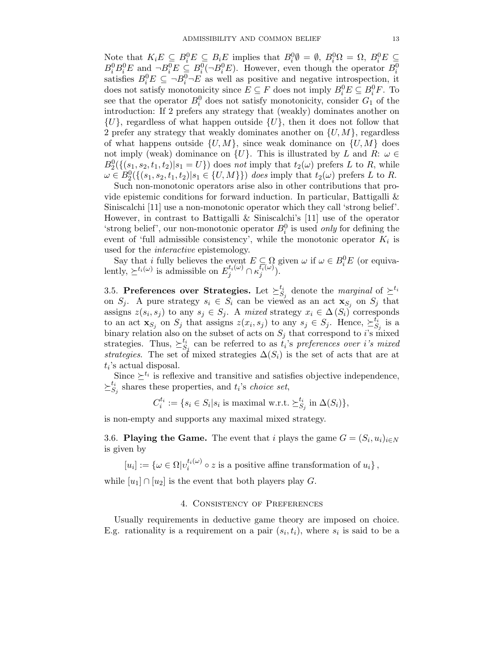Note that  $K_i E \subseteq B_i^0 E \subseteq B_i E$  implies that  $B_i^0 \emptyset = \emptyset$ ,  $B_i^0 \Omega = \Omega$ ,  $B_i^0 E \subseteq B_i^0 E \cap B_i^0 E \subseteq B_i^0 E \cap B_i^0 E$ . However, even though the operator  $B_i^0$  $B_i^0 B_i^0 E$  and  $\neg B_i^0 E \subseteq B_i^0 (\neg B_i^0 E)$ . However, even though the operator  $B_i^0$ <br>satisfies  $B^0 E \subseteq \neg B^0 \neg E$  as well as positive and perative introspection it satisfies  $B_i^0 E \subseteq \neg B_i^0 \neg E$  as well as positive and negative introspection, it<br>does not satisfy monotonicity since  $E \subseteq E$  does not imply  $B^0 E \subseteq B^0 F$ . To does not satisfy monotonicity since  $E \subseteq F$  does not imply  $B_i^0 E \subseteq B_i^0 F$ . To see that the operator  $B^0$  does not satisfy monotonicity consider  $G_i$  of the see that the operator  $B_i^0$  does not satisfy monotonicity, consider  $G_1$  of the introduction: If 2 prefers any strategy that (weakly) dominates another on introduction: If 2 prefers any strategy that (weakly) dominates another on  $\{U\}$ , regardless of what happen outside  $\{U\}$ , then it does not follow that 2 prefer any strategy that weakly dominates another on  $\{U, M\}$ , regardless of what happens outside  $\{U, M\}$ , since weak dominance on  $\{U, M\}$  does not imply (weak) dominance on  $\{U\}$ . This is illustrated by L and R:  $\omega \in$  $B_2^0(\{(s_1, s_2, t_1, t_2)|s_1 = U\})$  does not imply that  $t_2(\omega)$  prefers L to R, while  $\omega \in B_2^0(\{(s_1, s_2, t_1, t_2)|s_1 \in \{U, M\}\})$  does imply that  $t_2(\omega)$  prefers L to R.

Such non-monotonic operators arise also in other contributions that provide epistemic conditions for forward induction. In particular, Battigalli & Siniscalchi [11] use a non-monotonic operator which they call 'strong belief'. However, in contrast to Battigalli & Siniscalchi's [11] use of the operator 'strong belief', our non-monotonic operator  $B_i^0$  is used *only* for defining the event of 'full admissible consistency', while the monotonic operator K, is event of 'full admissible consistency', while the monotonic operator  $K_i$  is used for the interactive epistemology.

Say that *i* fully believes the event  $E \subseteq \Omega$  given  $\omega$  if  $\omega \in B_i^0 E$  (or equivalently,  $\succeq^{t_i(\omega)}$  is admissible on  $E_j^{t_i(\omega)} \cap \kappa_j^{t_i(\omega)}$ ).

3.5. **Preferences over Strategies.** Let  $\succeq_{S_i}^{t_i}$  denote the *marginal* of  $\succeq^{t_i}$ on  $S_j$ . A pure strategy  $s_i \in S_i$  can be viewed as an act  $\mathbf{x}_{S_j}$  on  $S_j$  that assigns  $z(s_i, s_j)$  to any  $s_j \in S_j$ . A mixed strategy  $x_i \in \Delta(S_i)$  corresponds to an act  $\mathbf{x}_{S_j}$  on  $S_j$  that assigns  $z(x_i, s_j)$  to any  $s_j \in S_j$ . Hence,  $\succeq_{S_j}^{t_i}$  is a<br>binary relation also on the subset of acts on  $S_j$ , that correspond to its nixed binary relation also on the subset of acts on  $S_j$  that correspond to i's mixed strategies. Thus,  $\succeq_S^{t_i}$  $S_i$  can be referred to as  $t_i$ 's preferences over i's mixed<br>of mixed strategies  $\Lambda(S_i)$  is the set of acts that are at strategies. The set of mixed strategies  $\Delta(S_i)$  is the set of acts that are at t 's actual disposal  $t_i$ 's actual disposal.

Since  $\geq^{t_i}$  is reflexive and transitive and satisfies objective independence,  $\succeq_{S_j}^{t_i}$  shares these properties, and  $t_i$ 's *choice set*,

$$
C_i^{t_i} := \{ s_i \in S_i | s_i \text{ is maximal w.r.t. } \succeq_{S_j}^{t_i} \text{ in } \Delta(S_i) \},
$$

is non-empty and supports any maximal mixed strategy.

3.6. **Playing the Game.** The event that i plays the game  $G = (S_i, u_i)_{i \in N}$ is given by

 $[u_i] := \{ \omega \in \Omega \mid v_i^{t_i(\omega)} \circ z \text{ is a positive affine transformation of } u_i \},$ 

while  $[u_1] \cap [u_2]$  is the event that both players play G.

## 4. Consistency of Preferences

Usually requirements in deductive game theory are imposed on choice. E.g. rationality is a requirement on a pair  $(s_i, t_i)$ , where  $s_i$  is said to be a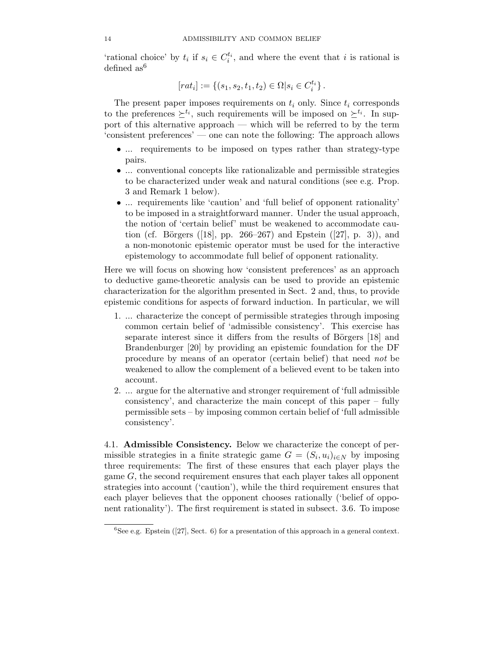'rational choice' by  $t_i$  if  $s_i \in C_i^{t_i}$ , and where the event that i is rational is defined as <sup>6</sup> defined  $as^6$ 

$$
[rat_i] := \{ (s_1, s_2, t_1, t_2) \in \Omega | s_i \in C_i^{t_i} \}.
$$

The present paper imposes requirements on  $t_i$  only. Since  $t_i$  corresponds to the preferences  $\geq^{t_i}$ , such requirements will be imposed on  $\geq^{t_i}$ . In support of this alternative approach — which will be referred to by the term 'consistent preferences' — one can note the following: The approach allows

- ... requirements to be imposed on types rather than strategy-type pairs.
- ... conventional concepts like rationalizable and permissible strategies to be characterized under weak and natural conditions (see e.g. Prop. 3 and Remark 1 below).
- ... requirements like 'caution' and 'full belief of opponent rationality' to be imposed in a straightforward manner. Under the usual approach, the notion of 'certain belief' must be weakened to accommodate caution (cf. Börgers ([18], pp. 266–267) and Epstein ([27], p. 3)), and a non-monotonic epistemic operator must be used for the interactive epistemology to accommodate full belief of opponent rationality.

Here we will focus on showing how 'consistent preferences' as an approach to deductive game-theoretic analysis can be used to provide an epistemic characterization for the algorithm presented in Sect. 2 and, thus, to provide epistemic conditions for aspects of forward induction. In particular, we will

- 1. ... characterize the concept of permissible strategies through imposing common certain belief of 'admissible consistency'. This exercise has separate interest since it differs from the results of Börgers  $[18]$  and Brandenburger [20] by providing an epistemic foundation for the DF procedure by means of an operator (certain belief) that need not be weakened to allow the complement of a believed event to be taken into account.
- 2. ... argue for the alternative and stronger requirement of 'full admissible consistency', and characterize the main concept of this paper – fully permissible sets – by imposing common certain belief of 'full admissible consistency'.

4.1. **Admissible Consistency.** Below we characterize the concept of permissible strategies in a finite strategic game  $G = (S_i, u_i)_{i \in N}$  by imposing three requirements: The first of these ensures that each player plays the game G, the second requirement ensures that each player takes all opponent strategies into account ('caution'), while the third requirement ensures that each player believes that the opponent chooses rationally ('belief of opponent rationality'). The first requirement is stated in subsect. 3.6. To impose

 ${}^{6}$ See e.g. Epstein ([27], Sect. 6) for a presentation of this approach in a general context.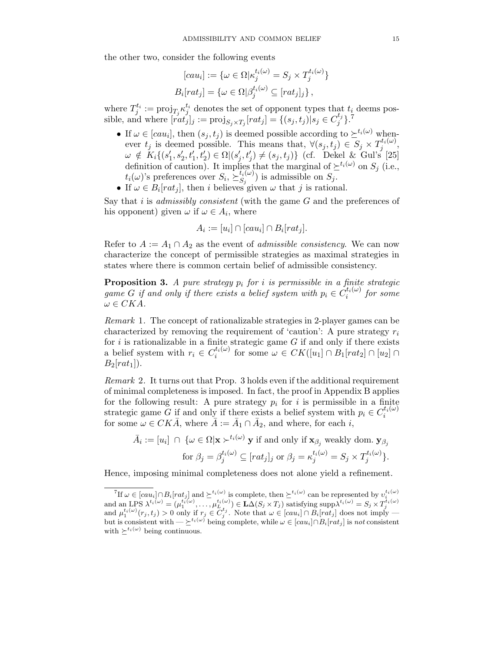the other two, consider the following events

$$
[cau_i] := \{ \omega \in \Omega | \kappa_j^{t_i(\omega)} = S_j \times T_j^{t_i(\omega)} \}
$$
  

$$
B_i[rat_j] = \{ \omega \in \Omega | \beta_j^{t_i(\omega)} \subseteq [rat_j]_j \},
$$

where  $T_j^{t_i} := \text{proj}_{T_j} \kappa_j^{t_i}$  denotes the set of opponent types that  $t_i$  deems pos-<br>sible and where  $\lceil \text{rot}_i \rceil$ ,  $\ldots$  projection  $\lceil \text{rot}_i \rceil = \{(s, t_i) | s_i \in C_j^{t_j} \}$ . sible, and where  $[rat_j']_j := \text{proj}_{S_j \times T_j}[rat_j] = \{(s_j, t_j) | s_j \in C_j^{t_j}\}$ .

- If  $\omega \in [cau_i]$ , then  $(s_j, t_j)$  is deemed possible according to  $\succeq^{t_i(\omega)}$  whenever  $t_j$  is deemed possible. This means that,  $\forall (s_j, t_j) \in S_j \times T_j^{t_i(\omega)}$ ,  $\omega \notin K_i$   $(s'_i, s'_i, t'_i) \in \Omega((s'_i, t'_i) \neq (s_i, t_i))$  (of Dekel  $\&$  Gul's [25]  $\omega \notin K_i\{(s'_1, s'_2, t'_1, t'_2) \in \Omega | (s'_j, t'_j) \neq (s_j, t_j) \}$  (cf. Dekel & Gul's [25] definition of caution). It implies that the marginal of  $\geq^{t_i(\omega)}$  on  $S_i$  (i.e.,  $t_i(\omega)$ 's preferences over  $S_i$ ,  $\sum_{j}^{t_i(\omega)}$  is admissible on  $S_j$ .<br>If  $\omega \in B$  [rat.] then i believes given  $\omega$  that i is ration
- If  $\omega \in B_i[rat_j]$ , then i believes given  $\omega$  that j is rational.

Say that i is *admissibly consistent* (with the game  $G$  and the preferences of his opponent) given  $\omega$  if  $\omega \in A_i$ , where

$$
A_i := [u_i] \cap [cau_i] \cap B_i[rat_j].
$$

Refer to  $A := A_1 \cap A_2$  as the event of *admissible consistency*. We can now characterize the concept of permissible strategies as maximal strategies in states where there is common certain belief of admissible consistency.

**Proposition 3.** A pure strategy  $p_i$  for i is permissible in a finite strategic game G if and only if there exists a belief system with  $p_i \in C_i^{t_i(\omega)}$  for some  $\omega \in CKA$  $\omega \in CKA$ .

Remark 1. The concept of rationalizable strategies in 2-player games can be characterized by removing the requirement of 'caution': A pure strategy  $r_i$ for i is rationalizable in a finite strategic game  $G$  if and only if there exists a belief system with  $r_i \in C_i^{t_i(\omega)}$  for some  $\omega \in CK([u_1] \cap B_1[rat_2] \cap [u_2] \cap B_2[rat_1])$  $B_2[rat_1]$ .

Remark 2. It turns out that Prop. 3 holds even if the additional requirement of minimal completeness is imposed. In fact, the proof in Appendix B applies for the following result: A pure strategy  $p_i$  for i is permissible in a finite strategic game G if and only if there exists a belief system with  $p_i \in C_i^{t_i(\omega)}$ for some  $\omega \in CK\overline{A}$ , where  $\overline{A} := \overline{A}_1 \cap \overline{A}_2$ , and where, for each i,

$$
\bar{A}_i := [u_i] \cap \{ \omega \in \Omega | \mathbf{x} \succ^{t_i(\omega)} \mathbf{y} \text{ if and only if } \mathbf{x}_{\beta_j} \text{ weakly dom. } \mathbf{y}_{\beta_j} \text{ for } \beta_j = \beta_j^{t_i(\omega)} \subseteq [rat_j]_j \text{ or } \beta_j = \kappa_j^{t_i(\omega)} = S_j \times T_j^{t_i(\omega)} \}.
$$

Hence, imposing minimal completeness does not alone yield a refinement.

<sup>&</sup>lt;sup>7</sup>If  $\omega \in [cau_i] \cap B_i[rat_j]$  and  $\succeq^{t_i(\omega)}$  is complete, then  $\succeq^{t_i(\omega)}$  can be represented by  $v_i^{t_i(\omega)}$ <br>and an LPS  $\lambda^{t_i(\omega)} = (\mu_1^{t_i(\omega)}, \dots, \mu_L^{t_i(\omega)}) \in \mathbf{L}\Delta(S_j \times T_j)$  satisfying supp $\lambda^{t_i(\omega)} = S_j \times T_j^{t_i(\omega)}$ <br>and  $\mu_1^{t_i(\omega$ but is consistent with  $-\succeq^{t_i(\omega)}$  being complete, while  $\omega \in [cau_i] \cap B_i[rat_j]$  is not consistent with  $\succ^{t_i(\omega)}$  being continuous with  $\succ^{t_i(\omega)}$  being continuous.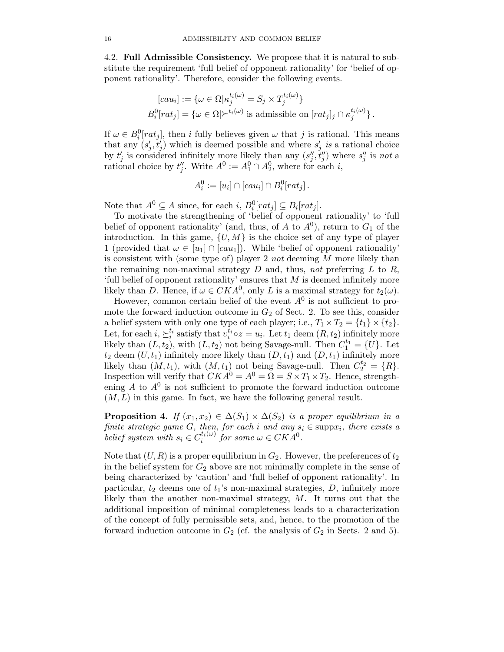4.2. **Full Admissible Consistency.** We propose that it is natural to substitute the requirement 'full belief of opponent rationality' for 'belief of opponent rationality'. Therefore, consider the following events.

$$
[cau_i] := \{ \omega \in \Omega | \kappa_j^{t_i(\omega)} = S_j \times T_j^{t_i(\omega)} \}
$$
  

$$
B_i^0[rat_j] = \{ \omega \in \Omega | \succeq^{t_i(\omega)} \text{ is admissible on } [rat_j]_j \cap \kappa_j^{t_i(\omega)} \}.
$$

If  $\omega \in B_i^0[rat_j]$ , then i fully believes given  $\omega$  that j is rational. This means that any  $(s' \ t')$  which is deemed possible and where  $s'$  is a rational choice that any  $(s'_j, t'_j)$  which is deemed possible and where  $s'_j$  is a rational choice<br>by  $t'$  is considered infinitely more likely than any  $(s'' \ t'')$  where  $s''$  is not a by  $t'_j$  is considered infinitely more likely than any  $(s''_j, t''_j)$  where  $s''_j$  is not a rational choice by  $t''_j$ . Write  $A^0 := A_1^0 \cap A_2^0$ , where for each i,

$$
A_i^0 := [u_i] \cap [cau_i] \cap B_i^0[rat_j].
$$

Note that  $A^0 \subseteq A$  since, for each i,  $B_i^0[rat_j] \subseteq B_i[rat_j]$ .<br>To motivate the strengthening of 'belief of opponent

To motivate the strengthening of 'belief of opponent rationality' to 'full belief of opponent rationality' (and, thus, of A to  $A^0$ ), return to  $G_1$  of the introduction. In this game,  $\{U, M\}$  is the choice set of any type of player 1 (provided that  $\omega \in [u_1] \cap [cau_1]$ ). While 'belief of opponent rationality' is consistent with (some type of) player 2 not deeming M more likely than the remaining non-maximal strategy  $D$  and, thus, not preferring  $L$  to  $R$ , 'full belief of opponent rationality' ensures that  $M$  is deemed infinitely more likely than D. Hence, if  $\omega \in CKA^0$ , only L is a maximal strategy for  $t_2(\omega)$ .

However, common certain belief of the event  $A^0$  is not sufficient to promote the forward induction outcome in  $G_2$  of Sect. 2. To see this, consider a belief system with only one type of each player; i.e.,  $T_1 \times T_2 = \{t_1\} \times \{t_2\}.$ Let, for each  $i, \sum_{i}^{t_i}$  satisfy that  $v_i^{t_i} \circ z = u_i$ . Let  $t_1$  deem  $(R, t_2)$  infinitely more<br>likely than  $(L, t_2)$  with  $(L, t_2)$  not being Savage-null. Then  $C^{t_1} - II_1$ . Let likely than  $(L, t_2)$ , with  $(L, t_2)$  not being Savage-null. Then  $C_1^{t_1} = \{U\}$ . Let  $t_2$  deem  $(U, t_1)$  infinitely more likely than  $(D, t_1)$  and  $(D, t_1)$  infinitely more likely than  $(M, t_1)$ , with  $(M, t_1)$  not being Savage-null. Then  $C_2^{t_2} = \{R\}.$ Inspection will verify that  $CKA^0 = A^0 = \Omega = S \times T_1 \times T_2$ . Hence, strengthening  $A$  to  $A^0$  is not sufficient to promote the forward induction outcome  $(M, L)$  in this game. In fact, we have the following general result.

**Proposition 4.** If  $(x_1, x_2) \in \Delta(S_1) \times \Delta(S_2)$  is a proper equilibrium in a finite strategic game G, then, for each i and any  $s_i \in \text{supp}x_i$ , there exists a<br>belief exists a helical exists a  $\mathcal{L}^{(i(\omega))}$  for each  $i \in \mathbb{C}[K, 4^0]$ belief system with  $s_i \in C_i^{t_i(\omega)}$  for some  $\omega \in CKA^0$ .

Note that  $(U, R)$  is a proper equilibrium in  $G_2$ . However, the preferences of  $t_2$ in the belief system for  $G_2$  above are not minimally complete in the sense of being characterized by 'caution' and 'full belief of opponent rationality'. In particular,  $t_2$  deems one of  $t_1$ 's non-maximal strategies,  $D$ , infinitely more likely than the another non-maximal strategy,  $M$ . It turns out that the additional imposition of minimal completeness leads to a characterization of the concept of fully permissible sets, and, hence, to the promotion of the forward induction outcome in  $G_2$  (cf. the analysis of  $G_2$  in Sects. 2 and 5).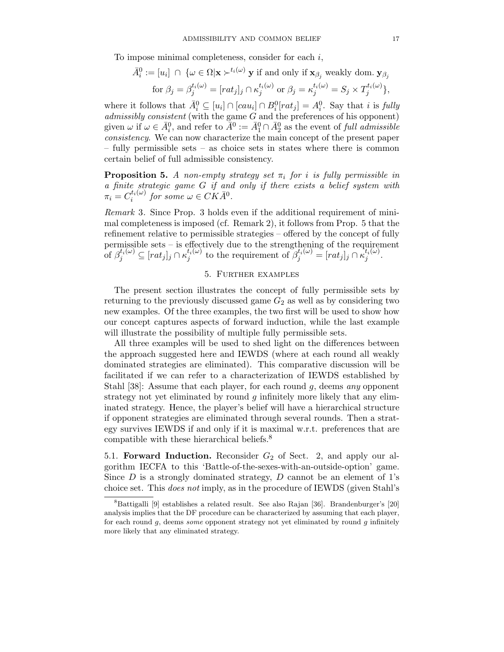To impose minimal completeness, consider for each i,

 $\overline{1}$ 

$$
\bar{A}_i^0 := [u_i] \cap \{ \omega \in \Omega | \mathbf{x} \succ^{t_i(\omega)} \mathbf{y} \text{ if and only if } \mathbf{x}_{\beta_j} \text{ weakly dom. } \mathbf{y}_{\beta_j} \text{ for } \beta_j = \beta_j^{t_i(\omega)} = [rat_j]_j \cap \kappa_j^{t_i(\omega)} \text{ or } \beta_j = \kappa_j^{t_i(\omega)} = S_j \times T_j^{t_i(\omega)} \},
$$

where it follows that  $\bar{A}_i^0 \subseteq [u_i] \cap [cau_i] \cap B_i^0[rat_j] = A_i^0$ . Say that i is fully admissibly consistent (with the game G and the preferences of his opponent) admissibly consistent (with the game G and the preferences of his opponent) given  $\omega$  if  $\omega \in \bar{A}_i^0$ , and refer to  $\bar{A}^0 := \bar{A}_1^0 \cap \bar{A}_2^0$  as the event of full admissible<br>consistency. We can now characterize the main concept of the present paper consistency. We can now characterize the main concept of the present paper – fully permissible sets – as choice sets in states where there is common certain belief of full admissible consistency.

**Proposition 5.** A non-empty strategy set  $\pi_i$  for i is fully permissible in a finite strategic game G if and only if there exists a belief system with  $\pi_i = C_i^{t_i(\omega)}$  for some  $\omega \in CK\overline{A}^0$ .

Remark 3. Since Prop. 3 holds even if the additional requirement of minimal completeness is imposed (cf. Remark 2), it follows from Prop. 5 that the refinement relative to permissible strategies – offered by the concept of fully permissible sets – is effectively due to the strengthening of the requirement of  $\beta_j^{t_i(\omega)} \subseteq [rat_j]_j \cap \kappa_j^{t_i(\omega)}$  to the requirement of  $\beta_j^{t_i(\omega)} = [rat_j]_j \cap \kappa_j^{t_i(\omega)}$ .

# 5. Further examples

The present section illustrates the concept of fully permissible sets by returning to the previously discussed game  $G_2$  as well as by considering two new examples. Of the three examples, the two first will be used to show how our concept captures aspects of forward induction, while the last example will illustrate the possibility of multiple fully permissible sets.

All three examples will be used to shed light on the differences between the approach suggested here and IEWDS (where at each round all weakly dominated strategies are eliminated). This comparative discussion will be facilitated if we can refer to a characterization of IEWDS established by Stahl [38]: Assume that each player, for each round q, deems any opponent strategy not yet eliminated by round  $q$  infinitely more likely that any eliminated strategy. Hence, the player's belief will have a hierarchical structure if opponent strategies are eliminated through several rounds. Then a strategy survives IEWDS if and only if it is maximal w.r.t. preferences that are compatible with these hierarchical beliefs.<sup>8</sup>

5.1. **Forward Induction.** Reconsider  $G_2$  of Sect. 2, and apply our algorithm IECFA to this 'Battle-of-the-sexes-with-an-outside-option' game. Since  $D$  is a strongly dominated strategy,  $D$  cannot be an element of 1's choice set. This does not imply, as in the procedure of IEWDS (given Stahl's

 ${}^{8}$ Battigalli [9] establishes a related result. See also Rajan [36]. Brandenburger's [20] analysis implies that the DF procedure can be characterized by assuming that each player, for each round  $g$ , deems *some* opponent strategy not yet eliminated by round  $g$  infinitely more likely that any eliminated strategy.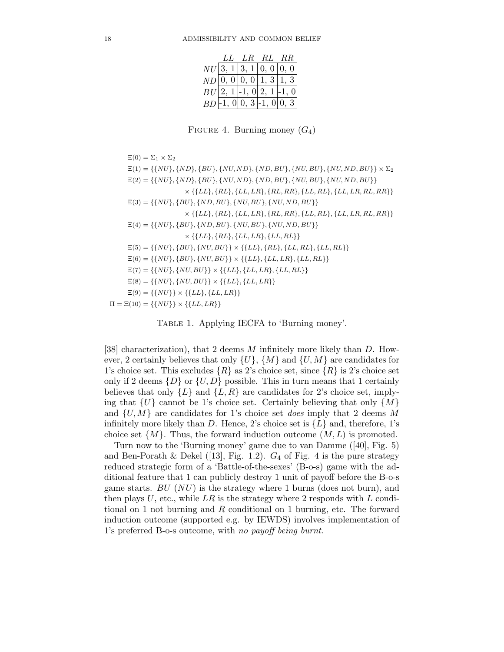|  | LL LR RL RR                |                            |
|--|----------------------------|----------------------------|
|  | $NU$ 3, 1 3, 1 0, 0 0, 0   |                            |
|  | $ND$ 0, 0 0, 0 1, 3 1, 3   |                            |
|  | $BU[2, 1]-1, 0 2, 1 -1, 0$ |                            |
|  |                            | $BD$ -1, 0 0, 3 -1, 0 0, 3 |

FIGURE 4. Burning money  $(G_4)$ 

 $\Xi(0) = \Sigma_1 \times \Sigma_2$  $\Xi(1) = \{\{NU\}, \{ND\}, \{BU\}, \{NU, ND\}, \{ND, BU\}, \{NU, BU\}, \{NU, ND, BU\}\}\times \Sigma_2$  $\Xi(2) = \{\{NU\}, \{ND\}, \{BU\}, \{NU, ND\}, \{ND, BU\}, \{NU, BU\}, \{NU, ND, BU\}\}\$  $\times \{ \{LL\}, \{RL\}, \{LL, LR\}, \{RL, RR\}, \{LL, RL\}, \{LL, LR, RL, RR\} \}$  $\Xi(3)=\{\{NU\},\{BU\},\{ND,BU\},\{NU,BU\},\{NU,ND,BU\}\}$  $\times \{ \{LL\}, \{RL\}, \{LL, LR\}, \{RL, RR\}, \{LL, RL\}, \{LL, LR, RL, RR\} \}$  $\Xi(4) = \{\{NU\}, \{BU\}, \{ND, BU\}, \{NU, BU\}, \{NU, ND, BU\}\}\$  $\times \{ \{LL\}, \{RL\}, \{LL, LR\}, \{LL, RL\} \}$  $\Xi(5)=\{\{NU\},\{BU\},\{NU, BU\}\} \times \{\{LL\},\{RL\},\{LL, RL\},\{LL, RL\}\}$  $\Xi(6) = \{\{NU\}, \{BU\}, \{NU, BU\}\} \times \{\{LL\}, \{LL, LR\}, \{LL, RL\}\}$  $\Xi(7) = \{\{NU\}, \{NU, BU\}\} \times \{\{LL\}, \{LL, LR\}, \{LL, RL\}\}$  $\Xi(8) = \{\{NU\}, \{NU, BU\}\} \times \{\{LL\}, \{LL, LR\}\}\$  $\Xi(9) = \{\{NU\}\}\times \{\{LL\}, \{LL, LR\}\}\$  $\Pi = \Xi(10) = {\{NU\}} \times {\{LL, LR\}}$ 

Table 1. Applying IECFA to 'Burning money'.

[38] characterization), that 2 deems M infinitely more likely than D. However, 2 certainly believes that only  $\{U\}$ ,  $\{M\}$  and  $\{U, M\}$  are candidates for 1's choice set. This excludes  $\{R\}$  as 2's choice set, since  $\{R\}$  is 2's choice set only if 2 deems  $\{D\}$  or  $\{U, D\}$  possible. This in turn means that 1 certainly believes that only  $\{L\}$  and  $\{L, R\}$  are candidates for 2's choice set, implying that  $\{U\}$  cannot be 1's choice set. Certainly believing that only  $\{M\}$ and  $\{U, M\}$  are candidates for 1's choice set *does* imply that 2 deems M infinitely more likely than D. Hence, 2's choice set is  $\{L\}$  and, therefore, 1's choice set  $\{M\}$ . Thus, the forward induction outcome  $(M, L)$  is promoted.

Turn now to the 'Burning money' game due to van Damme ([40], Fig. 5) and Ben-Porath & Dekel ([13], Fig. 1.2).  $G_4$  of Fig. 4 is the pure strategy reduced strategic form of a 'Battle-of-the-sexes' (B-o-s) game with the additional feature that 1 can publicly destroy 1 unit of payoff before the B-o-s game starts.  $BU(NU)$  is the strategy where 1 burns (does not burn), and then plays  $U$ , etc., while  $LR$  is the strategy where 2 responds with  $L$  conditional on 1 not burning and R conditional on 1 burning, etc. The forward induction outcome (supported e.g. by IEWDS) involves implementation of 1's preferred B-o-s outcome, with no payoff being burnt.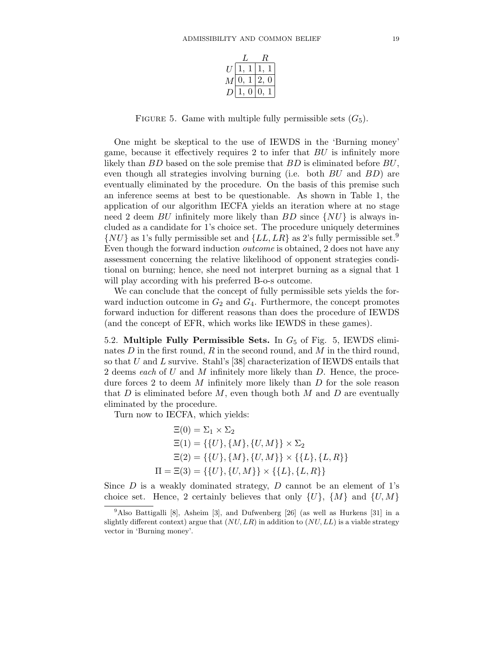| М |  |  |  |  |
|---|--|--|--|--|
|   |  |  |  |  |

FIGURE 5. Game with multiple fully permissible sets  $(G_5)$ .

One might be skeptical to the use of IEWDS in the 'Burning money' game, because it effectively requires 2 to infer that BU is infinitely more likely than  $BD$  based on the sole premise that  $BD$  is eliminated before  $BU$ , even though all strategies involving burning (i.e. both  $BU$  and  $BD$ ) are eventually eliminated by the procedure. On the basis of this premise such an inference seems at best to be questionable. As shown in Table 1, the application of our algorithm IECFA yields an iteration where at no stage need 2 deem BU infinitely more likely than BD since  $\{NU\}$  is always included as a candidate for 1's choice set. The procedure uniquely determines  $\{NU\}$  as 1's fully permissible set and  $\{LL, LR\}$  as 2's fully permissible set.<sup>9</sup> Even though the forward induction outcome is obtained, 2 does not have any assessment concerning the relative likelihood of opponent strategies conditional on burning; hence, she need not interpret burning as a signal that 1 will play according with his preferred B-o-s outcome.

We can conclude that the concept of fully permissible sets yields the forward induction outcome in  $G_2$  and  $G_4$ . Furthermore, the concept promotes forward induction for different reasons than does the procedure of IEWDS (and the concept of EFR, which works like IEWDS in these games).

5.2. **Multiple Fully Permissible Sets.** In G<sup>5</sup> of Fig. 5, IEWDS eliminates  $D$  in the first round,  $R$  in the second round, and  $M$  in the third round, so that  $U$  and  $L$  survive. Stahl's [38] characterization of IEWDS entails that 2 deems each of U and M infinitely more likely than D. Hence, the procedure forces 2 to deem  $M$  infinitely more likely than  $D$  for the sole reason that  $D$  is eliminated before  $M$ , even though both  $M$  and  $D$  are eventually eliminated by the procedure.

Turn now to IECFA, which yields:

$$
\Xi(0) = \Sigma_1 \times \Sigma_2
$$
  
\n
$$
\Xi(1) = \{\{U\}, \{M\}, \{U, M\}\} \times \Sigma_2
$$
  
\n
$$
\Xi(2) = \{\{U\}, \{M\}, \{U, M\}\} \times \{\{L\}, \{L, R\}\}
$$
  
\n
$$
\Pi = \Xi(3) = \{\{U\}, \{U, M\}\} \times \{\{L\}, \{L, R\}\}
$$

Since  $D$  is a weakly dominated strategy,  $D$  cannot be an element of 1's choice set. Hence, 2 certainly believes that only  $\{U\}$ ,  $\{M\}$  and  $\{U, M\}$ 

<sup>&</sup>lt;sup>9</sup>Also Battigalli [8], Asheim [3], and Dufwenberg [26] (as well as Hurkens [31] in a slightly different context) argue that  $(NU, LR)$  in addition to  $(NU, LL)$  is a viable strategy vector in 'Burning money'.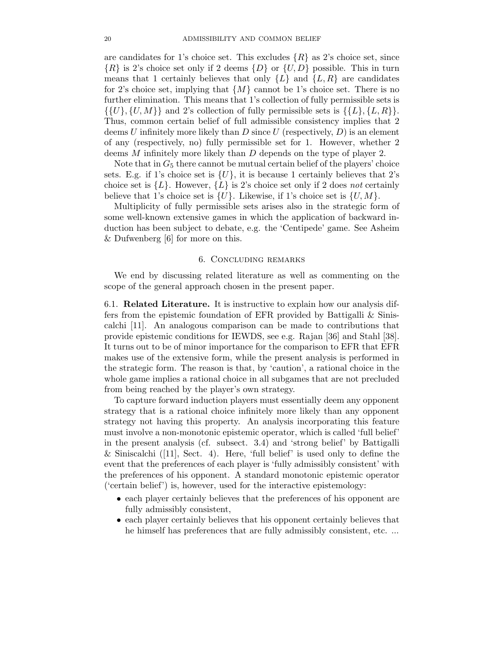are candidates for 1's choice set. This excludes  $\{R\}$  as 2's choice set, since  ${R}$  is 2's choice set only if 2 deems  ${D}$  or  ${U, D}$  possible. This in turn means that 1 certainly believes that only  $\{L\}$  and  $\{L, R\}$  are candidates for 2's choice set, implying that  $\{M\}$  cannot be 1's choice set. There is no further elimination. This means that 1's collection of fully permissible sets is  $\{\{U\},\{U,M\}\}\$ and 2's collection of fully permissible sets is  $\{\{L\},\{L,R\}\}.$ Thus, common certain belief of full admissible consistency implies that 2 deems U infinitely more likely than D since U (respectively,  $D$ ) is an element of any (respectively, no) fully permissible set for 1. However, whether 2 deems M infinitely more likely than D depends on the type of player 2.

Note that in  $G_5$  there cannot be mutual certain belief of the players' choice sets. E.g. if 1's choice set is  $\{U\}$ , it is because 1 certainly believes that 2's choice set is  $\{L\}$ . However,  $\{L\}$  is 2's choice set only if 2 does not certainly believe that 1's choice set is  $\{U\}$ . Likewise, if 1's choice set is  $\{U, M\}$ .

Multiplicity of fully permissible sets arises also in the strategic form of some well-known extensive games in which the application of backward induction has been subject to debate, e.g. the 'Centipede' game. See Asheim & Dufwenberg [6] for more on this.

#### 6. Concluding remarks

We end by discussing related literature as well as commenting on the scope of the general approach chosen in the present paper.

6.1. **Related Literature.** It is instructive to explain how our analysis differs from the epistemic foundation of EFR provided by Battigalli & Siniscalchi [11]. An analogous comparison can be made to contributions that provide epistemic conditions for IEWDS, see e.g. Rajan [36] and Stahl [38]. It turns out to be of minor importance for the comparison to EFR that EFR makes use of the extensive form, while the present analysis is performed in the strategic form. The reason is that, by 'caution', a rational choice in the whole game implies a rational choice in all subgames that are not precluded from being reached by the player's own strategy.

To capture forward induction players must essentially deem any opponent strategy that is a rational choice infinitely more likely than any opponent strategy not having this property. An analysis incorporating this feature must involve a non-monotonic epistemic operator, which is called 'full belief' in the present analysis (cf. subsect. 3.4) and 'strong belief' by Battigalli & Siniscalchi ([11], Sect. 4). Here, 'full belief' is used only to define the event that the preferences of each player is 'fully admissibly consistent' with the preferences of his opponent. A standard monotonic epistemic operator ('certain belief') is, however, used for the interactive epistemology:

- each player certainly believes that the preferences of his opponent are fully admissibly consistent,
- each player certainly believes that his opponent certainly believes that he himself has preferences that are fully admissibly consistent, etc. ...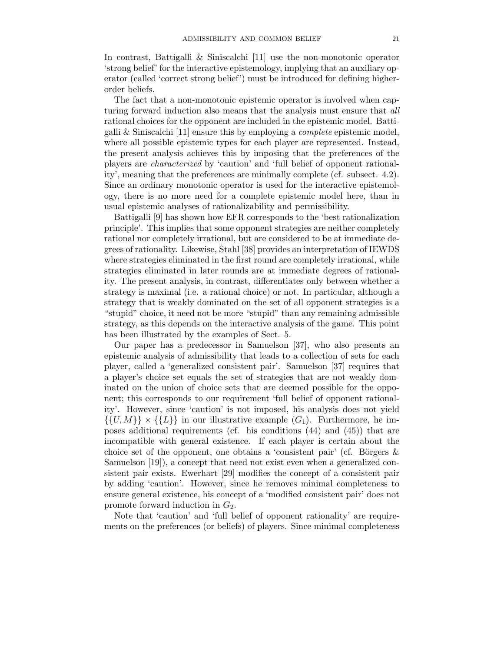In contrast, Battigalli & Siniscalchi [11] use the non-monotonic operator 'strong belief' for the interactive epistemology, implying that an auxiliary operator (called 'correct strong belief') must be introduced for defining higherorder beliefs.

The fact that a non-monotonic epistemic operator is involved when capturing forward induction also means that the analysis must ensure that all rational choices for the opponent are included in the epistemic model. Battigalli & Siniscalchi [11] ensure this by employing a *complete* epistemic model, where all possible epistemic types for each player are represented. Instead, the present analysis achieves this by imposing that the preferences of the players are characterized by 'caution' and 'full belief of opponent rationality', meaning that the preferences are minimally complete (cf. subsect. 4.2). Since an ordinary monotonic operator is used for the interactive epistemology, there is no more need for a complete epistemic model here, than in usual epistemic analyses of rationalizability and permissibility.

Battigalli [9] has shown how EFR corresponds to the 'best rationalization principle'. This implies that some opponent strategies are neither completely rational nor completely irrational, but are considered to be at immediate degrees of rationality. Likewise, Stahl [38] provides an interpretation of IEWDS where strategies eliminated in the first round are completely irrational, while strategies eliminated in later rounds are at immediate degrees of rationality. The present analysis, in contrast, differentiates only between whether a strategy is maximal (i.e. a rational choice) or not. In particular, although a strategy that is weakly dominated on the set of all opponent strategies is a "stupid" choice, it need not be more "stupid" than any remaining admissible strategy, as this depends on the interactive analysis of the game. This point has been illustrated by the examples of Sect. 5.

Our paper has a predecessor in Samuelson [37], who also presents an epistemic analysis of admissibility that leads to a collection of sets for each player, called a 'generalized consistent pair'. Samuelson [37] requires that a player's choice set equals the set of strategies that are not weakly dominated on the union of choice sets that are deemed possible for the opponent; this corresponds to our requirement 'full belief of opponent rationality'. However, since 'caution' is not imposed, his analysis does not yield  $\{\{U, M\}\}\times \{\{L\}\}\$ in our illustrative example  $(G_1)$ . Furthermore, he imposes additional requirements (cf. his conditions (44) and (45)) that are incompatible with general existence. If each player is certain about the choice set of the opponent, one obtains a 'consistent pair' (cf. Börgers  $\&$ Samuelson [19]), a concept that need not exist even when a generalized consistent pair exists. Ewerhart [29] modifies the concept of a consistent pair by adding 'caution'. However, since he removes minimal completeness to ensure general existence, his concept of a 'modified consistent pair' does not promote forward induction in  $G_2$ .

Note that 'caution' and 'full belief of opponent rationality' are requirements on the preferences (or beliefs) of players. Since minimal completeness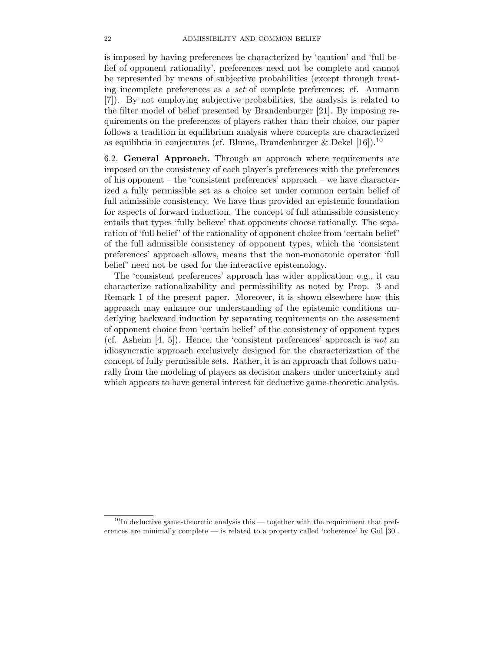is imposed by having preferences be characterized by 'caution' and 'full belief of opponent rationality', preferences need not be complete and cannot be represented by means of subjective probabilities (except through treating incomplete preferences as a set of complete preferences; cf. Aumann [7]). By not employing subjective probabilities, the analysis is related to the filter model of belief presented by Brandenburger [21]. By imposing requirements on the preferences of players rather than their choice, our paper follows a tradition in equilibrium analysis where concepts are characterized as equilibria in conjectures (cf. Blume, Brandenburger & Dekel  $[16]$ ).<sup>10</sup>

6.2. **General Approach.** Through an approach where requirements are imposed on the consistency of each player's preferences with the preferences of his opponent – the 'consistent preferences' approach – we have characterized a fully permissible set as a choice set under common certain belief of full admissible consistency. We have thus provided an epistemic foundation for aspects of forward induction. The concept of full admissible consistency entails that types 'fully believe' that opponents choose rationally. The separation of 'full belief' of the rationality of opponent choice from 'certain belief' of the full admissible consistency of opponent types, which the 'consistent preferences' approach allows, means that the non-monotonic operator 'full belief' need not be used for the interactive epistemology.

The 'consistent preferences' approach has wider application; e.g., it can characterize rationalizability and permissibility as noted by Prop. 3 and Remark 1 of the present paper. Moreover, it is shown elsewhere how this approach may enhance our understanding of the epistemic conditions underlying backward induction by separating requirements on the assessment of opponent choice from 'certain belief' of the consistency of opponent types (cf. Asheim [4, 5]). Hence, the 'consistent preferences' approach is not an idiosyncratic approach exclusively designed for the characterization of the concept of fully permissible sets. Rather, it is an approach that follows naturally from the modeling of players as decision makers under uncertainty and which appears to have general interest for deductive game-theoretic analysis.

 $10$ In deductive game-theoretic analysis this — together with the requirement that preferences are minimally complete — is related to a property called 'coherence' by Gul [30].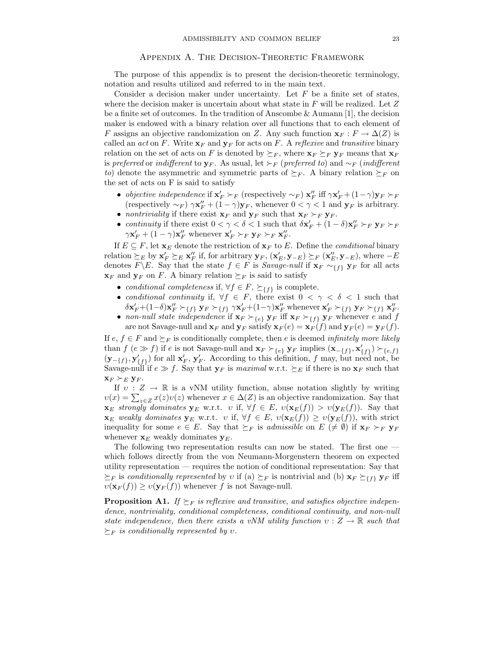#### Appendix A. The Decision-Theoretic Framework

The purpose of this appendix is to present the decision-theoretic terminology, notation and results utilized and referred to in the main text.

Consider a decision maker under uncertainty. Let  $F$  be a finite set of states, where the decision maker is uncertain about what state in  $F$  will be realized. Let  $Z$ be a finite set of outcomes. In the tradition of Anscombe & Aumann [1], the decision maker is endowed with a binary relation over all functions that to each element of F assigns an objective randomization on Z. Any such function  $\mathbf{x}_F : F \to \Delta(Z)$  is called an *act* on F. Write  $\mathbf{x}_F$  and  $\mathbf{y}_F$  for acts on F. A reflexive and transitive binary relation on the set of acts on F is denoted by  $\succeq_F$ , where  $\mathbf{x}_F \succeq_F \mathbf{y}_F$  means that  $\mathbf{x}_F$ is preferred or indifferent to **y**<sub>F</sub>. As usual, let  $\succ_F$  (preferred to) and  $\sim_F$  (indifferent to) denote the asymmetric and symmetric parts of  $\succeq_F$ . A binary relation  $\succeq_F$  on the set of acts on F is said to satisfy

- objective independence if  $\mathbf{x}'_F \succ_F$  (respectively  $\sim_F$ )  $\mathbf{x}''_F$  iff  $\gamma \mathbf{x}'_F + (1-\gamma)\mathbf{y}_F \succ_F$ <br>(respectively  $\sim_F$ )  $\gamma \mathbf{x}'' + (1-\gamma)\mathbf{y}_F$  whenever  $0 \leq \gamma \leq 1$  and  $\mathbf{y}_F$  is arbitrary (respectively  $\sim_F$ )  $\gamma \mathbf{x}''_F + (1 - \gamma)\mathbf{y}_F$ , whenever  $0 < \gamma < 1$  and  $\mathbf{y}_F$  is arbitrary.
- nontriviality if there exist  $\mathbf{x}_F$  and  $\mathbf{y}_F$  such that  $\mathbf{x}_F \succ_F \mathbf{y}_F$ .
- continuity if there exist  $0 < \gamma < \delta < 1$  such that  $\delta \mathbf{x}'_F + (1 \delta) \mathbf{x}''_F >_F \mathbf{y}_F >_F$ <br>  $\gamma \mathbf{x}' + (1 \gamma) \mathbf{x}''$  whenever  $\mathbf{x}' > F$   $\mathbf{x} = \mathbf{x} \mathbf{x}''$  $\gamma \mathbf{x}'_F + (1 - \gamma) \mathbf{x}''_F$  whenever  $\mathbf{x}'_F \succ_F \mathbf{y}_F \succ_F \mathbf{x}''_F$ .

If  $E \subseteq F$ , let  $\mathbf{x}_E$  denote the restriction of  $\mathbf{x}_F$  to E. Define the *conditional* binary relation  $\succeq_E$  by  $\mathbf{x}'_F \succeq_E \mathbf{x}''_F$  if, for arbitrary  $\mathbf{y}_F$ ,  $(\mathbf{x}'_E, \mathbf{y}_{-E}) \succeq_F (\mathbf{x}''_E, \mathbf{y}_{-E})$ , where  $-E$ <br>denotes  $F \setminus F$ , Say that the state  $f \in F$  is *Sayage pull* if  $\mathbf{x}_F$  access  $\mathbf{y}_F$  for denotes  $F \ E$ . Say that the state  $f \in F$  is *Savage-null* if  $\mathbf{x}_F \sim_{\{f\}} \mathbf{y}_F$  for all acts  $\mathbf{x}_F$  and  $\mathbf{y}_F$  on F. A binary relation  $\succeq_F$  is said to satisfy

- conditional completeness if,  $\forall f \in F$ ,  $\succeq_{\{f\}}$  is complete.
- conditional continuity if,  $\forall f \in F$ , there exist  $0 < \gamma < \delta < 1$  such that  $\delta \mathbf{x}'_F + (1-\delta) \mathbf{x}''_F \succeq_{\{f\}} \mathbf{y}_F \succeq_{\{f\}} \gamma \mathbf{x}'_F + (1-\gamma) \mathbf{x}''_F$  whenever  $\mathbf{x}'_F \succeq_{\{f\}} \mathbf{y}_F \succeq_{\{f\}} \mathbf{x}''_F$ .
- non-null state independence if  $\mathbf{x}_F \succ_{\{e\}} \mathbf{y}_F$  iff  $\mathbf{x}_F \succ_{\{f\}} \mathbf{y}_F$  whenever e and f are not Savage-null and  $\mathbf{x}_F$  and  $\mathbf{y}_F$  satisfy  $\mathbf{x}_F(e) = \mathbf{x}_F(f)$  and  $\mathbf{y}_F(e) = \mathbf{y}_F(f)$ .

If  $e, f \in F$  and  $\succeq_F$  is conditionally complete, then e is deemed *infinitely more likely* than  $f(e \gg f)$  if e is not Savage-null and  $\mathbf{x}_F \succ_{\{e\}} \mathbf{y}_F$  implies  $(\mathbf{x}_{-\{f\}}, \mathbf{x}'_{\{f\}}) \succ_{\{e,f\}}$ <br>(**y**  $\subset \mathbb{R}$ ,  $\mathbf{y}'$  ) for all  $\mathbf{x}'$ ,  $\mathbf{y}'$  . According to this definition, f may but need not be  $(\mathbf{y}-f_{f}), \mathbf{y}'_{f}$  for all  $\mathbf{x}'_{F}, \mathbf{y}'_{F}$ . According to this definition, f may, but need not, be Savage-null if  $e \gg f$ . Say that  $\mathbf{y}_{F}$  is maximal  $\mathbf{y}_{F}$  is fit there is no  $\mathbf{x}_{F}$  such that Savage-null if  $e \gg f$ . Say that  $\mathbf{y}_F$  is maximal w.r.t.  $\succeq_E$  if there is no  $\mathbf{x}_F$  such that  $\mathbf{x}_F \succ_E \mathbf{y}_F$ .

If  $v : Z \to \mathbb{R}$  is a vNM utility function, abuse notation slightly by writing  $v(x) = \sum_{z \in Z} x(z)v(z)$  whenever  $x \in \Delta(Z)$  is an objective randomization. Say that<br> $\mathbf{x} = \text{strangulu}\,\text{dominates}\,\mathbf{y} = \mathbf{w} \mathbf{r} + v \text{ if } \forall f \in E, v(\mathbf{x} = f) > v(\mathbf{x} = f)$ . Say that **x**<sub>E</sub> strongly dominates **y**<sub>E</sub> w.r.t. *v* if,  $\forall f \in E$ ,  $v(\mathbf{x}_E(f)) > v(\mathbf{y}_E(f))$ . Say that  $\mathbf{x}_E$  weakly dominates  $\mathbf{y}_E$  w.r.t. v if,  $\forall f \in E$ ,  $v(\mathbf{x}_E(f)) \geq v(\mathbf{y}_E(f))$ , with strict inequality for some  $e \in E$ . Say that  $\succeq_F$  is *admissible* on  $E \neq \emptyset$  if  $\mathbf{x}_F \succ_F \mathbf{y}_F$ whenever  $\mathbf{x}_E$  weakly dominates  $\mathbf{y}_E$ .

The following two representation results can now be stated. The first one which follows directly from the von Neumann-Morgenstern theorem on expected utility representation — requires the notion of conditional representation: Say that  $\succeq_F$  is conditionally represented by v if (a)  $\succeq_F$  is nontrivial and (b)  $\mathbf{x}_F \succeq_{f} \mathbf{y}_F$  iff  $v(\mathbf{x}_F(f)) \geq v(\mathbf{y}_F(f))$  whenever f is not Savage-null.

**Proposition A1.** If  $\succeq_F$  is reflexive and transitive, and satisfies objective independence, nontriviality, conditional completeness, conditional continuity, and non-null state independence, then there exists a vNM utility function  $v : Z \to \mathbb{R}$  such that  $\succeq_F$  is conditionally represented by v.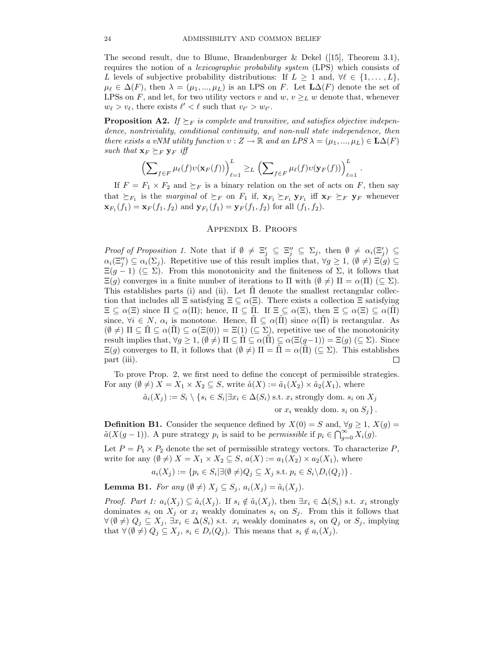The second result, due to Blume, Brandenburger & Dekel ([15], Theorem 3.1), requires the notion of a lexicographic probability system (LPS) which consists of L levels of subjective probability distributions: If  $L \geq 1$  and,  $\forall \ell \in \{1, ..., L\}$ ,  $\mu_{\ell} \in \Delta(F)$ , then  $\lambda = (\mu_1, ..., \mu_L)$  is an LPS on F. Let  $L\Delta(F)$  denote the set of LPSs on F, and let, for two utility vectors v and w,  $v \geq_L w$  denote that, whenever  $w_{\ell} > v_{\ell}$ , there exists  $\ell' < \ell$  such that  $v_{\ell'} > w_{\ell'}$ .

**Proposition A2.** If  $\succeq_F$  is complete and transitive, and satisfies objective independence, nontriviality, conditional continuity, and non-null state independence, then there exists a vNM utility function  $v : Z \to \mathbb{R}$  and an LPS  $\lambda = (\mu_1, ..., \mu_L) \in \mathbf{L}\Delta(F)$ such that  $\mathbf{x}_F \succeq_F \mathbf{y}_F$  iff

$$
\left(\sum_{f\in F}\mu_{\ell}(f)v(\mathbf{x}_F(f))\right)_{\ell=1}^L \geq L\left(\sum_{f\in F}\mu_{\ell}(f)v(\mathbf{y}_F(f))\right)_{\ell=1}^L.
$$

If  $F = F_1 \times F_2$  and  $\succeq_F$  is a binary relation on the set of acts on F, then say that  $\succeq_{F_1}$  is the marginal of  $\succeq_F$  on  $F_1$  if,  $\mathbf{x}_{F_1} \succeq_{F_1} \mathbf{y}_{F_1}$  iff  $\mathbf{x}_F \succeq_F \mathbf{y}_F$  whenever  $\mathbf{x}_{F_1}(f_1) = \mathbf{x}_F(f_1, f_2)$  and  $\mathbf{y}_{F_1}(f_1) = \mathbf{y}_F(f_1, f_2)$  for all  $(f_1, f_2)$ .

### Appendix B. Proofs

Proof of Proposition 1. Note that if  $\emptyset \neq \Xi'_j \subseteq \Xi''_j \subseteq \Sigma_j$ , then  $\emptyset \neq \alpha_i(\Xi'_j) \subseteq$ <br> $\alpha_i(\Xi'') \subseteq \alpha_i(\Sigma_i)$ . Benetitive use of this result implies that  $\forall \alpha > 1$ ,  $(\emptyset \neq) \subseteq (\alpha) \subseteq$  $\alpha_i(\Xi_j'') \subseteq \alpha_i(\Sigma_j)$ . Repetitive use of this result implies that,  $\forall g \geq 1$ ,  $(\emptyset \neq) \Xi(g) \subseteq$ <br> $\Xi(g, 1)$  ( $\subset \Sigma$ ). From this monotonisity and the finiteness of  $\Sigma$ , it follows that  $\Xi(g-1)$  ( $\subseteq \Sigma$ ). From this monotonicity and the finiteness of  $\Sigma$ , it follows that  $\Xi(g)$  converges in a finite number of iterations to  $\Pi$  with  $(\emptyset \neq) \Pi = \alpha(\Pi) \ (\subseteq \Sigma)$ . This establishes parts (i) and (ii). Let  $\Pi$  denote the smallest rectangular collection that includes all  $\Xi$  satisfying  $\Xi \subseteq \alpha(\Xi)$ . There exists a collection  $\Xi$  satisfying  $\Xi \subseteq \alpha(\Xi)$  since  $\Pi \subseteq \alpha(\Pi)$ ; hence,  $\Pi \subseteq \Pi$ . If  $\Xi \subseteq \alpha(\Xi)$ , then  $\Xi \subseteq \alpha(\Xi) \subseteq \alpha(\Pi)$ since,  $\forall i \in N$ ,  $\alpha_i$  is monotone. Hence,  $\Pi \subseteq \alpha(\Pi)$  since  $\alpha(\Pi)$  is rectangular. As  $(\emptyset \neq) \Pi \subseteq \Pi \subseteq \alpha(\Pi) \subseteq \alpha(\Xi(0)) = \Xi(1) \subseteq \Sigma$ , repetitive use of the monotonicity result implies that,  $\forall g \geq 1$ ,  $(\emptyset \neq) \Pi \subseteq \Pi \subseteq \alpha(\Pi) \subseteq \alpha(\Xi(g-1)) = \Xi(g) \subseteq \Sigma$ . Since  $\Xi(g)$  converges to  $\Pi$ , it follows that  $(\emptyset \neq) \Pi = \Pi = \alpha(\Pi) \ (\subseteq \Sigma)$ . This establishes part (iii). П

To prove Prop. 2, we first need to define the concept of permissible strategies. For any  $(\emptyset \neq)$   $X = X_1 \times X_2 \subseteq S$ , write  $\tilde{a}(X) := \tilde{a}_1(X_2) \times \tilde{a}_2(X_1)$ , where

$$
\tilde{a}_i(X_j) := S_i \setminus \{ s_i \in S_i | \exists x_i \in \Delta(S_i) \text{ s.t. } x_i \text{ strongly dom. } s_i \text{ on } X_j \}
$$

or  $x_i$  weakly dom.  $s_i$  on  $S_j$ .

**Definition B1.** Consider the sequence defined by  $X(0) = S$  and,  $\forall g \ge 1$ ,  $X(g) =$  $\tilde{a}(X(g-1))$ . A pure strategy  $p_i$  is said to be *permissible* if  $p_i \in \bigcap_{g=0}^{\infty} X_i(g)$ .

Let  $P = P_1 \times P_2$  denote the set of permissible strategy vectors. To characterize P, write for any  $(\emptyset \neq)$   $X = X_1 \times X_2 \subseteq S$ ,  $a(X) := a_1(X_2) \times a_2(X_1)$ , where

$$
a_i(X_j) := \{ p_i \in S_i | \exists (\emptyset \neq) Q_j \subseteq X_j \text{ s.t. } p_i \in S_i \backslash D_i(Q_j) \}.
$$

**Lemma B1.** For any  $(\emptyset \neq) X_j \subseteq S_j$ ,  $a_i(X_i) = \tilde{a}_i(X_i)$ .

*Proof. Part 1:*  $a_i(X_j) \subseteq \tilde{a}_i(X_j)$ . If  $s_i \notin \tilde{a}_i(X_j)$ , then  $\exists x_i \in \Delta(S_i)$  s.t.  $x_i$  strongly dominates  $s_i$  on  $X_j$  or  $x_i$  weakly dominates  $s_i$  on  $S_j$ . From this it follows that  $\forall (\emptyset \neq) Q_j \subseteq X_j, \exists x_i \in \Delta(S_i) \text{ s.t. } x_i \text{ weakly dominates } s_i \text{ on } Q_j \text{ or } S_j \text{, implying}$ that  $\forall (\emptyset \neq) Q_j \subseteq X_j$ ,  $s_i \in D_i(Q_j)$ . This means that  $s_i \notin a_i(X_j)$ .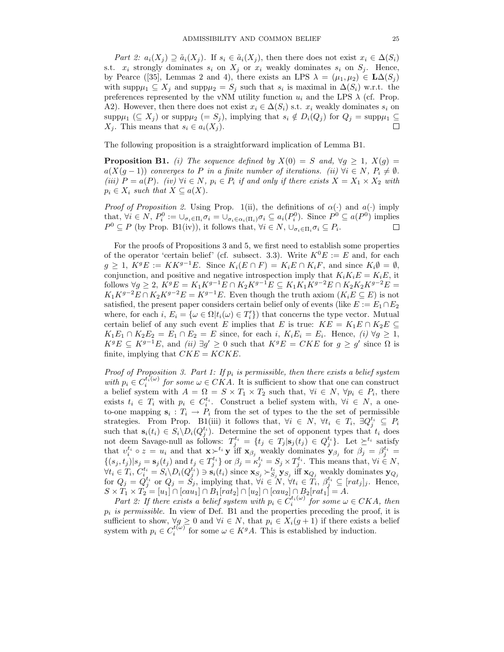Part 2:  $a_i(X_i) \supseteq \tilde{a}_i(X_i)$ . If  $s_i \in \tilde{a}_i(X_i)$ , then there does not exist  $x_i \in \Delta(S_i)$ s.t.  $x_i$  strongly dominates  $s_i$  on  $X_j$  or  $x_i$  weakly dominates  $s_i$  on  $S_j$ . Hence, by Pearce ([35], Lemmas 2 and 4), there exists an LPS  $\lambda = (\mu_1, \mu_2) \in L\Delta(S_i)$ with supp $\mu_1 \subseteq X_j$  and supp $\mu_2 = S_j$  such that  $s_i$  is maximal in  $\Delta(S_i)$  w.r.t. the preferences represented by the vNM utility function  $u_i$  and the LPS  $\lambda$  (cf. Prop. A2). However, then there does not exist  $x_i \in \Delta(S_i)$  s.t.  $x_i$  weakly dominates  $s_i$  on supp $\mu_1 \subseteq X_j$  or supp $\mu_2 (= S_j)$ , implying that  $s_i \notin D_i(Q_j)$  for  $Q_j = \text{supp}\mu_1 \subseteq X_i$ . This means that  $s_i \in a_i(X_i)$ .  $X_j$ . This means that  $s_i \in a_i(X_j)$ .

The following proposition is a straightforward implication of Lemma B1.

**Proposition B1.** (i) The sequence defined by  $X(0) = S$  and,  $\forall g \ge 1$ ,  $X(g) =$  $a(X(g-1))$  converges to P in a finite number of iterations. (ii)  $\forall i \in N, P_i \neq \emptyset$ . (iii)  $P = a(P)$ . (iv)  $\forall i \in N$ ,  $p_i \in P_i$  if and only if there exists  $X = X_1 \times X_2$  with  $p_i \in X_i$  such that  $X \subseteq a(X)$ .

*Proof of Proposition 2.* Using Prop. 1(ii), the definitions of  $\alpha(\cdot)$  and  $\alpha(\cdot)$  imply that,  $\forall i \in N$ ,  $P_i^0 := \bigcup_{\sigma_i \in \Pi_i} \sigma_i = \bigcup_{\sigma_i \in \alpha_i(\Pi_i)} \sigma_i \subseteq a_i(P_i^0)$ . Since  $P^0 \subseteq a(P^0)$  implies  $P^0 \subset P$  (by Prop. B1(iv)), it follows that  $\forall i \in N$ ,  $\vdash \neg \sigma \subset P$  $P^0 \subseteq P$  (by Prop. B1(iv)), it follows that,  $\forall i \in N$ ,  $\cup_{\sigma_i \in \Pi_i} \sigma_i \subseteq P_i$ .

For the proofs of Propositions 3 and 5, we first need to establish some properties of the operator 'certain belief' (cf. subsect. 3.3). Write  $K^0E := E$  and, for each  $g \geq 1$ ,  $K^{g}E := KK^{g-1}E$ . Since  $K_i(E \cap F) = K_iE \cap K_iF$ , and since  $K_i\emptyset = \emptyset$ , conjunction, and positive and negative introspection imply that  $K_iK_iE = K_iE$ , it follows  $\forall g \geq 2$ ,  $\overline{K^g}E = K_1K^{g-1}E \cap K_2K^{g-1}E \subseteq K_1K_1K^{g-2}E \cap K_2K_2K^{g-2}E =$  $K_1K^{g-2}E \cap K_2K^{g-2}E = K^{g-1}E$ . Even though the truth axiom  $(K_iE \subseteq E)$  is not satisfied, the present paper considers certain belief only of events (like  $E := E_1 \cap E_2$ where, for each i,  $E_i = \{\omega \in \Omega | t_i(\omega) \in T'_i \}$  that concerns the type vector. Mutual contain belief of any such event E implies that E is true:  $KF = K, F \cap K, F \subset$ certain belief of any such event E implies that E is true:  $KE = K_1E \cap K_2E \subseteq$  $K_1E_1 \cap K_2E_2 = E_1 \cap E_2 = E$  since, for each i,  $K_iE_i = E_i$ . Hence, (i)  $\forall g \ge 1$ ,  $K^{g}E \subseteq K^{g-1}E$ , and  $(ii) \exists g' \geq 0$  such that  $K^{g}E = CKE$  for  $g \geq g'$  since  $\Omega$  is finite, implying that  $CKE = KCKE$ .

Proof of Proposition 3. Part 1: If  $p_i$  is permissible, then there exists a belief system with  $p_i \in C_i^{t_i(\omega)}$  for some  $\omega \in C\tilde{K}A$ . It is sufficient to show that one can construct  $p_i$  belief system with  $A = \Omega - S \times T \times T$  such that  $\forall i \in N$   $\forall n_i \in P$ , there a belief system with  $A = \Omega = S \times T_1 \times T_2$  such that,  $\forall i \in N, \forall p_i \in P_i$ , there exists  $t_i \in T_i$  with  $p_i \in C_i^{t_i}$ . Construct a belief system with,  $\forall i \in N$ , a one-<br>to-one manning  $s_i \cdot T_i \to P$  from the set of types to the the set of permissible to-one mapping  $\mathbf{s}_i : T_i \to P_i$  from the set of types to the the set of permissible strategies. From Prop. B1(iii) it follows that,  $\forall i \in N$ ,  $\forall t_i \in T_i$ ,  $\exists Q_j^{t_i} \subseteq P_i$ <br>such that  $s_i(t_i) \in S_i \setminus D_i(O^{t_i})$ . Determine the set of eppenent types that t, does such that  $\mathbf{s}_i(t_i) \in S_i \backslash D_i(Q_j^{t_i})$ . Determine the set of opponent types that  $t_i$  does<br>not deem Savage-null as follows:  $T_j^{t_i} = \{t_j \in T_j | \mathbf{s}_j(t_j) \in Q_j^{t_i}\}$ . Let  $\succeq^{t_i}$  satisfy<br>that  $v_i^{t_i} \circ z = u_i$  and that  $\mathbf{x} \succ^{$  $\{(s_j, t_j)|s_j = \mathbf{s}_j(t_j) \text{ and } t_j \in T_j^{t_i}\} \text{ or } \beta_j = \kappa_j^{t_i} = S_j \times T_j^{t_i}.$  This means that,  $\forall i \in N$ ,<br> $\forall t \in T, C_i^{t_i} = S \setminus D, (O_i^{t_i}) \supseteq S$ , (t) since  $\mathbf{x}_i \geq \kappa_j^{t_i}$  we set  $\mathbf{x}_j$  if  $\mathbf{x}_i \geq \text{models}$  dominator  $\mathbf{x}_j$  $\forall t_i \in T_i, C_i^{t_i} = S_i \setminus D_i(Q_j^{t_i}) \ni s_i(t_i)$  since  $\mathbf{x}_{S_j} \succ_{S_j}^{t_i} \mathbf{y}_{S_j}$  iff  $\mathbf{x}_{Q_j}$  weakly dominates  $\mathbf{y}_{Q_j}$  for  $O_i = O_i^{t_i}$  or  $O_i = S_i$ , implying that  $\forall i \in N$ ,  $\forall t_i \in T_i$ ,  $S_i^{t_i} \subset [rat_i]$ . Hence for  $Q_j = Q_j^{t_i}$  or  $Q_j = S_j$ , implying that,  $\forall i \in \mathbb{N}$ ,  $\forall t_i \in T_i$ ,  $\beta_j^{t_i} \subseteq [rat_j]_j$ . Hence,<br>  $S \times T_1 \times T_2 = [u_1] \cap [cau_1] \cap B_1[rat_2] \cap [u_2] \cap [cau_2] \cap B_2[rat_1] = A$ .

Part 2: If there exists a belief system with  $p_i \in C_i^{t_i(\omega)}$  for some  $\omega \in CKA$ , then<br>is nermissible. In view of Def. B1 and the properties preceding the proof it is  $p_i$  is permissible. In view of Def. B1 and the properties preceding the proof, it is sufficient to show,  $\forall g \geq 0$  and  $\forall i \in N$ , that  $p_i \in X_i(g + 1)$  if there exists a belief system with  $p_i \in C_i^{t(\omega)}$  for some  $\omega \in K^g A$ . This is established by induction.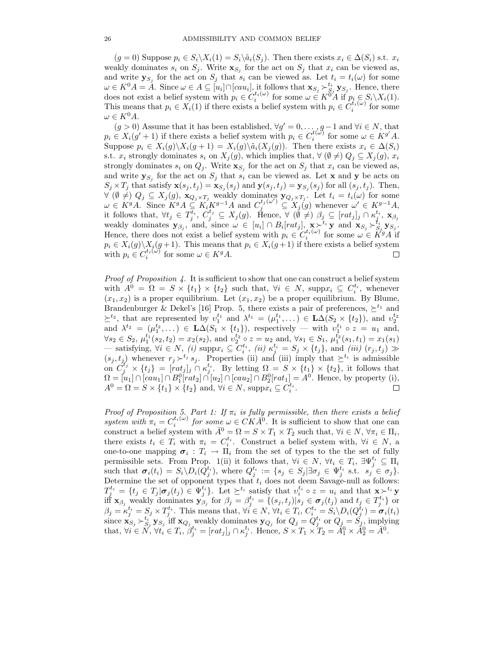$(g = 0)$  Suppose  $p_i \in S_i \backslash X_i(1) = S_i \backslash \tilde{a}_i(S_i)$ . Then there exists  $x_i \in \Delta(S_i)$  s.t.  $x_i$ weakly dominates  $s_i$  on  $S_j$ . Write  $\mathbf{x}_{S_j}$  for the act on  $S_j$  that  $x_i$  can be viewed as, and write  $\mathbf{y}_{S_i}$  for the act on  $S_j$  that  $s_i$  can be viewed as. Let  $t_i = t_i(\omega)$  for some  $\omega \in K^0 A = \hat{A}$ . Since  $\omega \in A \subseteq [u_i] \cap [cau_i]$ , it follows that  $\mathbf{x}_{S_j} \succ_{S_j}^{t_i} \mathbf{y}_{S_j}$ . Hence, there does not exist a belief system with  $v_i \in C^{t_i(\omega)}$  for some  $\omega \in K^0 A$  if  $v_i \in S \setminus Y_i(1)$ does not exist a belief system with  $p_i \in C_i^{t_i(\omega)}$  for some  $\omega \in K^{0,A}$  if  $p_i \in S_i \setminus X_i(1)$ .<br>This means that  $p_i \in X_i(1)$  if there exists a belief system with  $p_i \in C_i^{t_i(\omega)}$  for some This means that  $p_i \in X_i(1)$  if there exists a belief system with  $p_i \in C_i^{t_i(\omega)}$  for some  $\omega \in K^0 A$  $\omega \in K^0 A.$ 

 $(g > 0)$  Assume that it has been established,  $\forall g' = 0, \ldots, g-1$  and  $\forall i \in N$ , that  $p_i \in X_i(g' + 1)$  if there exists a belief system with  $p_i \in C_i^{t(\omega)}$  for some  $\omega \in K^{g'}A$ .<br>Suppose  $p_i \in X_i(g) \setminus X_i(g+1) = X_i(g) \setminus \tilde{g}_i(X_i(g))$ . Then there exists  $x_i \in \Lambda(S_i)$ . Suppose  $p_i \in X_i(g) \backslash X_i(g+1) = X_i(g) \backslash \tilde{a}_i(X_i(g))$ . Then there exists  $x_i \in \Delta(S_i)$ s.t.  $x_i$  strongly dominates  $s_i$  on  $X_j(g)$ , which implies that,  $\forall (\emptyset \neq) Q_j \subseteq X_j(g)$ ,  $x_i$ strongly dominates  $s_i$  on  $Q_j$ . Write  $\mathbf{x}_{S_j}$  for the act on  $S_j$  that  $x_i$  can be viewed as, and write  $\mathbf{y}_{S_j}$  for the act on  $S_j$  that  $s_i$  can be viewed as. Let **x** and **y** be acts on  $S_j \times T_j$  that satisfy  $\mathbf{x}(s_j, t_j) = \mathbf{x}_{S_j}(s_j)$  and  $\mathbf{y}(s_j, t_j) = \mathbf{y}_{S_j}(s_j)$  for all  $(s_j, t_j)$ . Then,  $\forall (\emptyset \neq) Q_j \subseteq X_j(g),$   $\mathbf{x}_{Q_j \times T_j}$  weakly dominates  $\mathbf{y}_{Q_j \times T_j}$ . Let  $t_i = t_i(\omega)$  for some  $\cup_{Q_j \times Q_j}$   $\mathbf{y}_{Q_j \times T_j}$  and  $C^{t_j(\omega')} \subseteq \mathbf{y}_{Q_j}$  whenever  $\cup_{Q_j \times T_j}$   $\mathbf{z}_{Q_j \times T_j}$  $\omega \in K^g A$ . Since  $K^g A \subseteq K_i K^{g-1} A$  and  $C_j^{t_j(\omega')} \subseteq X_j(g)$  whenever  $\omega' \in K^{g-1} A$ ,<br>it follows that  $\forall t \in T^{t_i}$ ,  $C^{t_j} \subset X_i(g)$ . Hence  $\forall (\emptyset, \neq)$ ,  $\beta_i \subset [rat_i]$ ,  $\bigcirc \kappa^{t_i}$ ,  $\infty$ it follows that,  $\forall t_j \in T_j^{t_i}, C_j^{t_j} \subseteq X_j(g)$ . Hence,  $\forall (\emptyset \neq) \beta_j \subseteq [rat_j]_j \cap \kappa_i^{t_i}, \mathbf{x}_{\beta_j}$ <br>weakly dominates  $\mathbf{y}_\beta$  , and since  $\omega \in [at] \cap R$  [rat.]  $\mathbf{x} \in \kappa_i$  and  $\mathbf{x}_\beta \in \kappa_i$   $\mathbf{y}_\beta$ weakly dominates  $\mathbf{y}_{\beta_j}$ , and, since  $\omega \in [u_i] \cap B_i[rat_j]$ ,  $\mathbf{x} \succ^{t_i} \mathbf{y}$  and  $\mathbf{x}_{S_j} \succ^{t_i} \mathbf{y}_{S_j}$ .<br>Hence there does not exist a belief system with  $v_i \in C^{t_i(\omega)}$  for some  $\omega \in K^g A$  if Hence, there does not exist a belief system with  $p_i \in C_i^{t_i(\omega)}$  for some  $\omega \in K^g A$  if  $p_i \in X_i(g) \setminus X_i(g+1)$ . This means that  $p_i \in X_i(g+1)$  if there exists a belief system with  $p_i \in C^{t_i(\omega)}$  for some  $\omega \in K^g A$ . with  $p_i \in C_i^{t_i(\omega)}$  for some  $\omega \in K^g A$ .

*Proof of Proposition 4.* It is sufficient to show that one can construct a belief system with  $A^0 = \Omega = S \times \{t_1\} \times \{t_2\}$  such that,  $\forall i \in N$ , supp $x_i \subseteq C_i^{t_i}$ , whenever  $(x_1, x_2)$  is a proper equilibrium. Let  $(x_1, x_2)$  be a proper equilibrium. By Blume, Brandenburger & Dekel's [16] Prop. 5, there exists a pair of preferences,  $\succeq^{t_1}$  and  $\geq^{t_2}$ , that are represented by  $v_1^{t_1}$  and  $\lambda^{t_1} = (\mu_1^{t_1}, \dots) \in \mathbf{L}\Delta(S_2 \times \{t_2\})$ , and  $v_2^{t_2}$ and  $\lambda^{t_2} = (\mu_1^{t_2}, \dots) \in \mathbf{L}\Delta(S_1 \times \{t_1\}),$  respectively — with  $v_1^{t_1} \circ z = u_1$  and,  $\forall s_2 \in S_2, \, \mu_1^{t_1}(s_2, t_2) = x_2(s_2)$ , and  $v_2^{t_2} \circ z = u_2$  and,  $\forall s_1 \in S_1, \, \mu_1^{t_2}(s_1, t_1) = x_1(s_1)$ — satisfying,  $\forall i \in N$ , (*i*) supp $x_i \subseteq C_i^{t_i}$ , (*ii*)  $\kappa_j^{t_i} = S_j \times \{t_j\}$ , and (*iii*) ( $r_j, t_j$ ) ≫<br>(*s*, *t*) whenever  $r \cdot \zeta^{t_j} s$ . Properties (*ii*) and (*iii*) imply that  $\succ^{t_i}$  is admissible  $(s_j, t_j)$  whenever  $r_j \succ^{t_j} s_j$ . Properties (ii) and (iii) imply that  $\succeq^{t_i}$  is admissible on  $C_j^{t_j} \times \{t_j\} = [rat_j]_j \cap \kappa_j^{t_i}$ . By letting  $\Omega = S \times \{t_1\} \times \{t_2\}$ , it follows that  $\Omega = [u_1] \cap [cau_1] \cap B_1^0[rat_2] \cap [u_2] \cap [cau_2] \cap B_2^0[rat_1] = A^0$ . Hence, by property (i),  $A^0 = \Omega = S \times \{t_1\} \times \{t_2\}$  and,  $\forall i \in N$ , supp $x_i \subseteq C_i^{t_i}$ .

Proof of Proposition 5. Part 1: If  $\pi_i$  is fully permissible, then there exists a belief<br>existency with  $\pi_i$  of  $\mu_i(x)$  for example  $\in CK_1[0, 1]$  is explicit to show that are son system with  $\pi_i = C_i^{t_i(\omega)}$  for some  $\omega \in CK\overline{A}^0$ . It is sufficient to show that one can<br>construct a belief system with  $\overline{A}^0 = \overline{O} = S \times T$ ,  $\times T$  such that  $\forall i \in N$ ,  $\forall \pi_i \in \Pi$ . construct a belief system with  $\bar{A}^0 = \Omega = S \times T_1 \times T_2$  such that,  $\forall i \in N, \forall \pi_i \in \Pi_i$ , there exists  $t_i \in T_i$  with  $\pi_i = C_i^{t_i}$ . Construct a belief system with,  $\forall i \in N$ , a constraint  $\sigma_i : T_i \to \Pi$  from the set of types to the the set of fully one-to-one mapping  $\sigma_i : T_i \to \Pi_i$  from the set of types to the the set of fully<br>parmiculate the property of the set of the set of the set of the property of the set of the property of the set of the property of the set of permissible sets. From Prop. 1(ii) it follows that,  $\forall i \in N$ ,  $\forall t_i \in T_i$ ,  $\exists \Psi_j^{t_i} \subseteq \Pi_i$ <br>such that  $\boldsymbol{\tau}_i(t_i) = S_i \setminus D_i(Q^{t_i})$ , where  $Q^{t_i} := \{e_i \in S_i | \exists \boldsymbol{\tau}_i \in \Psi_j^{t_i} \text{ s.t. } e_i \in \boldsymbol{\tau}_i\}$ such that  $\sigma_i(t_i) = S_i \backslash D_i(Q_i^{t_i})$ , where  $Q_j^{t_i} := \{s_j \in S_j | \exists \sigma_j \in \Psi_j^{t_i} \text{ s.t. } s_j \in \sigma_j \}$ .<br>Determine the set of opponent types that to does not doom Sayage pull as follows: Determine the set of opponent types that  $t_i$  does not deem Savage-null as follows:<br> $T^{t_i} = [t_i \in T] \bullet (t_i) \in \mathbb{N}^{t_i}$  let  $\forall t_i$  astisfy that  $v^{t_i} \circ \tilde{z} = v_i$  and that  $\mathbf{y} \setminus t_i$  is  $T_j^{t_i} = \{t_j \in T_j | \sigma_j(t_j) \in \Psi_j^{t_i}\}.$  Let  $\succeq^{t_i}$  satisfy that  $v_i^{t_i} \circ z = u_i$  and that  $\mathbf{x} \succ^{t_i} \mathbf{y}$  $j_i^{t_i} = \{t_j \in T_j | \sigma_j(t_j) \in \Psi_j^{t_i}\}.$  Let  $\succeq^{t_i}$  satisfy that  $v_i^{t_i} \circ z = u_i$  and that  $\mathbf{x} \succ^{t_i} \mathbf{y}$ <br> $\mathbf{y} \sim \text{weakly dominates } \mathbf{y} \circ \text{for } \beta_i = \beta^{t_i} - f(s_i, t_i) | s_i \in \sigma_i(t_i) \text{ and } t_i \in T^{t_i} \}$ iff  $\mathbf{x}_{\beta_j}$  weakly dominates  $\mathbf{y}_{\beta_j}$  for  $\beta_j = \beta_j^{t_i} = \{(s_j, t_j) | s_j \in \sigma_j(t_j) \text{ and } t_j \in T_i^{t_i}\}$  or  $\beta_j = \kappa_j^{t_i} = S_j \times T_j^{t_i}$ . This means that,  $\forall i \in N$ ,  $\forall t_i \in T_i$ ,  $C_i^{t_i} = S_i \setminus D_i(Q_j^{t_i}) = \sigma_i(t_i)$ <br>since  $\mathbf{x}_{\alpha} \in \mathbb{S}^{t_i}$ ,  $\mathbf{y}_{\alpha}$  iff  $\mathbf{x}_{\alpha}$ , workly dominates  $\mathbf{y}_{\alpha}$ , for  $O_i = O_i^{t_i}$  or  $O_i = S_i$ , implying since  $\mathbf{x}_{S_j} \succ_{S_j}^{t_j} \mathbf{y}_{S_j}$  iff  $\mathbf{x}_{Q_j}$  weakly dominates  $\mathbf{y}_{Q_j}$  for  $Q_j = Q_j^{t_i}$  or  $Q_j = S_j$ , implying<br>that  $\forall i \in N$   $\forall t \in T$ ,  $\beta^{t_i} = [rat] \cup \beta^{t_i}$ . Hence  $S \times T_1 \times T_2 = \overline{A^0} \times \overline{A^0} = \overline{A^0}$ that,  $\forall i \in \mathbb{N}, \forall t_i \in T_i$ ,  $\beta_j^{t_i} = [rat_j]_j \cap \kappa_j^{t_i}$ . Hence,  $S \times T_1 \times T_2 = \tilde{A}_1^0 \times \tilde{A}_2^0 = \tilde{A}_1^0$ .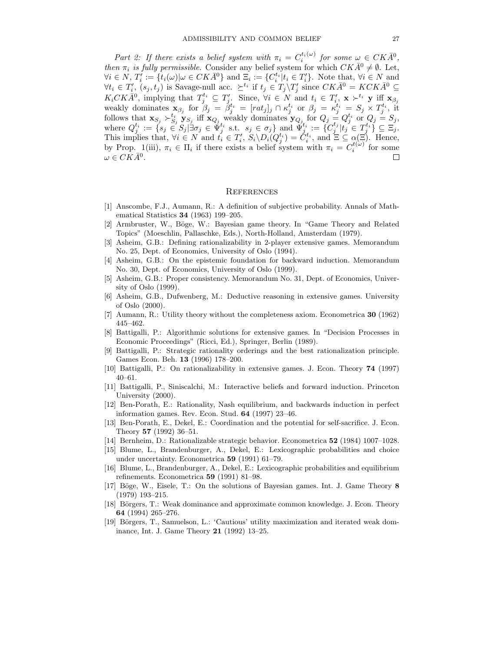Part 2: If there exists a belief system with  $\pi_i = C_i^{t_i(\omega)}$  for some  $\omega \in CK\overline{A}^0$ ,<br>on  $\pi$ , is fully nermissible. Consider any belief system for which  $CK\overline{A}^0 \neq \emptyset$ . Let then  $\pi_i$  is fully permissible. Consider any belief system for which  $CK\bar{A}^0 \neq \emptyset$ . Let,  $\forall i \in N$ ,  $T_i' := \{t_i(\omega) | \omega \in CK\overline{A}^0\}$  and  $\Xi_i := \{C_i^{t_i} | t_i \in T_i'\}$ . Note that,  $\forall i \in N$  and  $\forall t \in T'$  (e. t.) is Savaro pull acc  $\succ^{t_i}$  if  $t \in T \setminus T'$  since  $CK\overline{A}^0 - KCK\overline{A}^0 \subset T$  $\forall t_i \in T'_i$ ,  $(s_j, t_j)$  is Savage-null acc.  $\succeq^{t_i}$  if  $t_j \in T_j \setminus T'_j$  since  $CK\bar{A}^0 = KCK\bar{A}^0 \subseteq$ <br> $\leq$   $CCK\bar{A}^0$  implying that  $T^{t_i} \subseteq T'_i$ . Since  $\forall i \in N$  and  $t \in T'_i$ ,  $\leq$   $\forall i \in N$  if  $\leq$  $K_iCK\overline{A}^0$ , implying that  $T_i^{t_i} \subseteq T'_j$ . Since,  $\forall i \in N$  and  $t_i \in T'_i$ ,  $\mathbf{x} \succ^{t_i} \mathbf{y}$  iff  $\mathbf{x}_{\beta j}$ <br>workly dominates  $\mathbf{x}_i$ , for  $\beta_i = \beta_i^{t_i} = [net] \cup \mathbb{C}^{t_i}$  or  $\beta_i = e^{t_i} = S_i \times T^{t_i}$ , it weakly dominates  $\mathbf{x}_{\beta_j}$  for  $\beta_j = \beta_j^{t_i} = [rat_j]_j \cap \kappa_j^{t_i}$  or  $\beta_j = \kappa_j^{t_i} = S_j \times T_j^{t_i}$ , it<br>follows that  $\mathbf{x}_{\beta} \sim t_i$  if  $\mathbf{x}_{\beta}$  would dominates  $\mathbf{x}_{\beta}$  for  $O_i = O_i^{t_i}$  or  $O_i = S_i$ . follows that  $\mathbf{x}_{S_j} \succ_{S_j}^{t_i} \mathbf{y}_{S_j}$  iff  $\mathbf{x}_{Q_j}$  weakly dominates  $\mathbf{y}_{Q_j}$  for  $Q_j = Q_j^{t_i}$  or  $Q_j = S_j$ ,<br>where  $Q_j^{t_i} := \{s_j \in S_j | \exists \sigma_j \in \Psi_j^{t_i} \text{ s.t. } s_j \in \sigma_j \}$  and  $\Psi_j^{t_i} := \{C_j^{t_j} | t_j \in T_j^{t_i} \} \subseteq \Xi_j$ .<br>This impl This implies that,  $\forall i \in N$  and  $t_i \in T_i'$ ,  $S_i \backslash D_i(Q_j^{t_i}) = \check{C}_i^{t_i}$ , and  $\Xi \subseteq \alpha(\Xi)$ . Hence, <br>by Prop. 1(iii)  $\pi_i \in \Pi$ , if there exists a belief system with  $\pi_i = C^{t(\omega)}$  for some by Prop. 1(iii),  $\pi_i \in \Pi_i$  if there exists a belief system with  $\pi_i = C_i^{t(\omega)}$  for some  $\omega \in CK\overline{A_0}$  $\omega \in CK\bar{A}^0$ .

## **REFERENCES**

- [1] Anscombe, F.J., Aumann, R.: A definition of subjective probability. Annals of Mathematical Statistics **34** (1963) 199–205.
- [2] Armbruster, W., Böge, W.: Bayesian game theory. In "Game Theory and Related Topics" (Moeschlin, Pallaschke, Eds.), North-Holland, Amsterdam (1979).
- [3] Asheim, G.B.: Defining rationalizability in 2-player extensive games. Memorandum No. 25, Dept. of Economics, University of Oslo (1994).
- [4] Asheim, G.B.: On the epistemic foundation for backward induction. Memorandum No. 30, Dept. of Economics, University of Oslo (1999).
- [5] Asheim, G.B.: Proper consistency. Memorandum No. 31, Dept. of Economics, University of Oslo  $(1999)$ .
- [6] Asheim, G.B., Dufwenberg, M.: Deductive reasoning in extensive games. University of  $Oslo(2000)$ .
- [7] Aumann, R.: Utility theory without the completeness axiom. Econometrica **30** (1962) 445–462.
- [8] Battigalli, P.: Algorithmic solutions for extensive games. In "Decision Processes in Economic Proceedings" (Ricci, Ed.), Springer, Berlin (1989).
- [9] Battigalli, P.: Strategic rationality orderings and the best rationalization principle. Games Econ. Beh. **13** (1996) 178–200.
- [10] Battigalli, P.: On rationalizability in extensive games. J. Econ. Theory **74** (1997) 40–61.
- [11] Battigalli, P., Siniscalchi, M.: Interactive beliefs and forward induction. Princeton University (2000).
- [12] Ben-Porath, E.: Rationality, Nash equilibrium, and backwards induction in perfect information games. Rev. Econ. Stud. **64** (1997) 23–46.
- [13] Ben-Porath, E., Dekel, E.: Coordination and the potential for self-sacrifice. J. Econ. Theory **57** (1992) 36–51.
- [14] Bernheim, D.: Rationalizable strategic behavior. Econometrica **52** (1984) 1007–1028.
- [15] Blume, L., Brandenburger, A., Dekel, E.: Lexicographic probabilities and choice under uncertainty. Econometrica **59** (1991) 61–79.
- [16] Blume, L., Brandenburger, A., Dekel, E.: Lexicographic probabilities and equilibrium refinements. Econometrica **59** (1991) 81–98.
- [17] Böge, W., Eisele, T.: On the solutions of Bayesian games. Int. J. Game Theory 8 (1979) 193–215.
- [18] Börgers, T.: Weak dominance and approximate common knowledge. J. Econ. Theory **64** (1994) 265–276.
- [19] Börgers, T., Samuelson, L.: 'Cautious' utility maximization and iterated weak dominance, Int. J. Game Theory **21** (1992) 13–25.